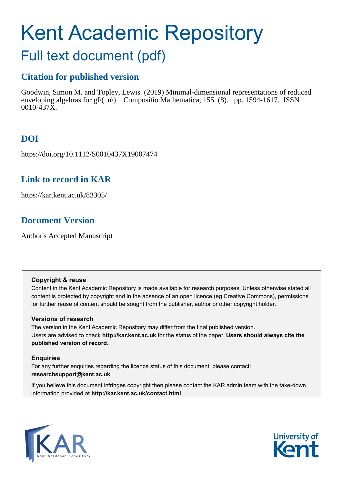# Kent Academic Repository

## Full text document (pdf)

## **Citation for published version**

Goodwin, Simon M. and Topley, Lewis (2019) Minimal-dimensional representations of reduced enveloping algebras for gl $\langle \hat{n} \rangle$ . Compositio Mathematica, 155 (8). pp. 1594-1617. ISSN 0010-437X.

## **DOI**

https://doi.org/10.1112/S0010437X19007474

### **Link to record in KAR**

https://kar.kent.ac.uk/83305/

## **Document Version**

Author's Accepted Manuscript

#### **Copyright & reuse**

Content in the Kent Academic Repository is made available for research purposes. Unless otherwise stated all content is protected by copyright and in the absence of an open licence (eg Creative Commons), permissions for further reuse of content should be sought from the publisher, author or other copyright holder.

#### **Versions of research**

The version in the Kent Academic Repository may differ from the final published version. Users are advised to check **http://kar.kent.ac.uk** for the status of the paper. **Users should always cite the published version of record.**

#### **Enquiries**

For any further enquiries regarding the licence status of this document, please contact: **researchsupport@kent.ac.uk**

If you believe this document infringes copyright then please contact the KAR admin team with the take-down information provided at **http://kar.kent.ac.uk/contact.html**



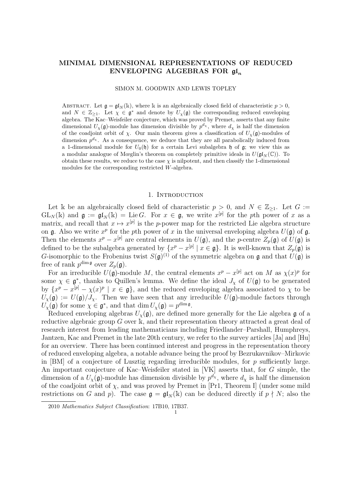#### MINIMAL DIMENSIONAL REPRESENTATIONS OF REDUCED ENVELOPING ALGEBRAS FOR  $\mathfrak{gl}_n$

#### SIMON M. GOODWIN AND LEWIS TOPLEY

ABSTRACT. Let  $\mathfrak{g} = \mathfrak{gl}_N(\mathbb{k})$ , where k is an algebraically closed field of characteristic  $p > 0$ , and  $N \in \mathbb{Z}_{\geq 1}$ . Let  $\chi \in \mathfrak{g}^*$  and denote by  $U_{\chi}(\mathfrak{g})$  the corresponding reduced enveloping algebra. The Kac–Weisfeiler conjecture, which was proved by Premet, asserts that any finite dimensional  $U_{\chi}(\mathfrak{g})$ -module has dimension divisible by  $p^{d_{\chi}}$ , where  $d_{\chi}$  is half the dimension of the coadjoint orbit of  $\chi$ . Our main theorem gives a classification of  $U_{\chi}(\mathfrak{g})$ -modules of dimension  $p^{d_{\chi}}$ . As a consequence, we deduce that they are all parabolically induced from a 1-dimensional module for  $U_0(\mathfrak{h})$  for a certain Levi subalgebra  $\mathfrak{h}$  of  $\mathfrak{g}$ ; we view this as a modular analogue of Mœglin's theorem on completely primitive ideals in  $U(\mathfrak{gl}_N(\mathbb{C}))$ . To obtain these results, we reduce to the case  $\chi$  is nilpotent, and then classify the 1-dimensional modules for the corresponding restricted W-algebra.

#### 1. INTRODUCTION

Let k be an algebraically closed field of characteristic  $p > 0$ , and  $N \in \mathbb{Z}_{\geq 1}$ . Let  $G :=$  $GL_N(\mathbb{k})$  and  $\mathfrak{g} := \mathfrak{gl}_N(\mathbb{k}) = \text{Lie } G$ . For  $x \in \mathfrak{g}$ , we write  $x^{[p]}$  for the pth power of x as a matrix, and recall that  $x \mapsto x^{[p]}$  is the p-power map for the restricted Lie algebra structure on  $\mathfrak g$ . Also we write  $x^p$  for the pth power of x in the universal enveloping algebra  $U(\mathfrak g)$  of  $\mathfrak g$ . Then the elements  $x^p - x^{[p]}$  are central elements in  $U(\mathfrak{g})$ , and the p-centre  $Z_p(\mathfrak{g})$  of  $U(\mathfrak{g})$  is defined to be the subalgebra generated by  $\{x^p - x^{[p]} \mid x \in \mathfrak{g}\}\.$  It is well-known that  $Z_p(\mathfrak{g})$  is G-isomorphic to the Frobenius twist  $S(\mathfrak{g})^{(1)}$  of the symmetric algebra on  $\mathfrak g$  and that  $U(\mathfrak g)$  is free of rank  $p^{\dim \mathfrak{g}}$  over  $Z_p(\mathfrak{g})$ .

For an irreducible  $U(\mathfrak{g})$ -module M, the central elements  $x^p - x^{[p]}$  act on M as  $\chi(x)^p$  for some  $\chi \in \mathfrak{g}^*$ , thanks to Quillen's lemma. We define the ideal  $J_{\chi}$  of  $U(\mathfrak{g})$  to be generated by  $\{x^p - x^{[p]} - \chi(x)^p \mid x \in \mathfrak{g}\}\$ , and the reduced enveloping algebra associated to  $\chi$  to be  $U_{\chi}(\mathfrak{g}) := U(\mathfrak{g})/J_{\chi}$ . Then we have seen that any irreducible  $U(\mathfrak{g})$ -module factors through  $U_{\chi}(\mathfrak{g})$  for some  $\chi \in \mathfrak{g}^*$ , and that  $\dim U_{\chi}(\mathfrak{g}) = p^{\dim \mathfrak{g}}$ .

Reduced enveloping algebras  $U_{\gamma}(\mathfrak{g})$ , are defined more generally for the Lie algebra g of a reductive algebraic group G over k, and their representation theory attracted a great deal of research interest from leading mathematicians including Friedlander–Parshall, Humphreys, Jantzen, Kac and Premet in the late 20th century, we refer to the survey articles [Ja] and [Hu] for an overview. There has been continued interest and progress in the representation theory of reduced enveloping algebra, a notable advance being the proof by Bezrukavnikov–Mirkovic in  $[BM]$  of a conjecture of Lusztig regarding irreducible modules, for p sufficiently large. An important conjecture of Kac–Weisfeiler stated in [VK] asserts that, for G simple, the dimension of a  $U_{\chi}(\mathfrak{g})$ -module has dimension divisible by  $p^{d_{\chi}}$ , where  $d_{\chi}$  is half the dimension of the coadjoint orbit of  $\chi$ , and was proved by Premet in [Pr1, Theorem I] (under some mild restrictions on G and p). The case  $\mathfrak{g} = \mathfrak{gl}_N(\mathbb{k})$  can be deduced directly if  $p \nmid N$ ; also the

<sup>2010</sup> Mathematics Subject Classification: 17B10, 17B37.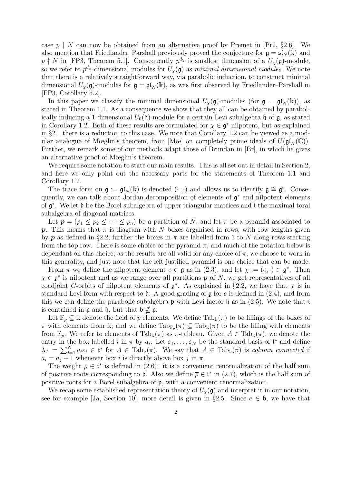case  $p \mid N$  can now be obtained from an alternative proof by Premet in [Pr2, §2.6]. We also mention that Friedlander–Parshall previously proved the conjecture for  $\mathfrak{g} = \mathfrak{sl}_N(\mathbb{k})$  and  $p \nmid N$  in [FP3, Theorem 5.1]. Consequently  $p^{d_X}$  is smallest dimension of a  $U_\chi(\mathfrak{g})$ -module, so we refer to  $p^{d_{\chi}}$ -dimensional modules for  $U_{\chi}(\mathfrak{g})$  as *minimal dimensional modules*. We note that there is a relatively straightforward way, via parabolic induction, to construct minimal dimensional  $U_{\gamma}(\mathfrak{g})$ -modules for  $\mathfrak{g} = \mathfrak{gl}_N(\mathbb{k})$ , as was first observed by Friedlander–Parshall in [FP3, Corollary 5.2].

In this paper we classify the minimal dimensional  $U_{\chi}(\mathfrak{g})$ -modules (for  $\mathfrak{g} = \mathfrak{gl}_N(\mathbb{k})$ ), as stated in Theorem 1.1. As a consequence we show that they all can be obtained by parabolically inducing a 1-dimensional  $U_0(\mathfrak{h})$ -module for a certain Levi subalgebra  $\mathfrak{h}$  of  $\mathfrak{g}$ , as stated in Corollary 1.2. Both of these results are formulated for  $\chi \in \mathfrak{g}^*$  nilpotent, but as explained in §2.1 there is a reduction to this case. We note that Corollary 1.2 can be viewed as a modular analogue of Mœglin's theorem, from [Mœ] on completely prime ideals of  $U(\mathfrak{gl}_N(\mathbb{C}))$ . Further, we remark some of our methods adapt those of Brundan in [Br], in which he gives an alternative proof of Mœglin's theorem.

We require some notation to state our main results. This is all set out in detail in Section 2, and here we only point out the necessary parts for the statements of Theorem 1.1 and Corollary 1.2.

The trace form on  $\mathfrak{g} := \mathfrak{gl}_N(\mathbb{k})$  is denoted  $(\cdot, \cdot)$  and allows us to identify  $\mathfrak{g} \cong \mathfrak{g}^*$ . Consequently, we can talk about Jordan decomposition of elements of  $\mathfrak{g}^*$  and nilpotent elements of  $\mathfrak{g}^*$ . We let b be the Borel subalgebra of upper triangular matrices and t the maximal toral subalgebra of diagonal matrices.

Let  $p = (p_1 \leq p_2 \leq \cdots \leq p_n)$  be a partition of N, and let  $\pi$  be a pyramid associated to p. This means that  $\pi$  is diagram with N boxes organised in rows, with row lengths given by **p** as defined in §2.2; further the boxes in  $\pi$  are labelled from 1 to N along rows starting from the top row. There is some choice of the pyramid  $\pi$ , and much of the notation below is dependant on this choice; as the results are all valid for any choice of  $\pi$ , we choose to work in this generality, and just note that the left justified pyramid is one choice that can be made.

From  $\pi$  we define the nilpotent element  $e \in \mathfrak{g}$  as in (2.3), and let  $\chi := (e, \cdot) \in \mathfrak{g}^*$ . Then  $\chi \in \mathfrak{g}^*$  is nilpotent and as we range over all partitions  $p$  of N, we get representatives of all coadjoint G-orbits of nilpotent elements of  $\mathfrak{g}^*$ . As explained in §2.2, we have that  $\chi$  is in standard Levi form with respect to **b**. A good grading of  $\frak{g}$  for e is defined in (2.4), and from this we can define the parabolic subalgebra  $\mathfrak p$  with Levi factor  $\mathfrak h$  as in (2.5). We note that t is contained in  $\mathfrak p$  and  $\mathfrak h$ , but that  $\mathfrak b \nsubseteq \mathfrak p$ .

Let  $\mathbb{F}_p \subseteq \mathbb{R}$  denote the field of p elements. We define  $\text{Tab}_k(\pi)$  to be fillings of the boxes of  $\pi$  with elements from k; and we define  $\text{Tab}_{\mathbb{F}_p}(\pi) \subseteq \text{Tab}_{\mathbb{k}}(\pi)$  to be the filling with elements from  $\mathbb{F}_p$ . We refer to elements of  $\text{Tab}_k(\pi)$  as  $\pi$ -tableau. Given  $A \in \text{Tab}_k(\pi)$ , we denote the entry in the box labelled i in  $\pi$  by  $a_i$ . Let  $\varepsilon_1, \ldots, \varepsilon_N$  be the standard basis of  $\mathfrak{t}^*$  and define  $\lambda_A = \sum_{i=1}^N a_i \varepsilon_i \in \mathfrak{t}^*$  for  $A \in \text{Tab}_k(\pi)$ . We say that  $A \in \text{Tab}_k(\pi)$  is column connected if  $a_i = a_j + 1$  whenever box i is directly above box j in  $\pi$ .

The weight  $\rho \in \mathfrak{t}^*$  is defined in (2.6): it is a convenient renormalization of the half sum of positive roots corresponding to b. Also we define  $\bar{\rho} \in \mathfrak{t}^*$  in (2.7), which is the half sum of positive roots for a Borel subalgebra of p, with a convenient renormalization.

We recap some established representation theory of  $U_{\chi}(\mathfrak{g})$  and interpret it in our notation, see for example [Ja, Section 10], more detail is given in §2.5. Since  $e \in \mathfrak{b}$ , we have that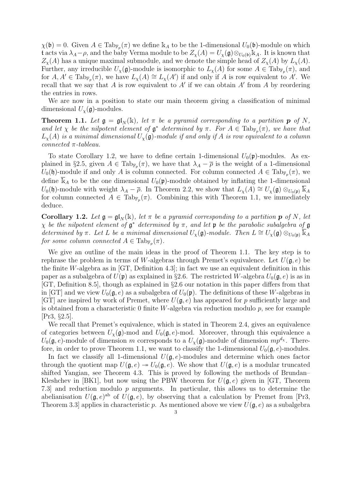$\chi(\mathfrak{b}) = 0$ . Given  $A \in \text{Tab}_{\mathbb{F}_p}(\pi)$  we define  $\mathbb{k}_A$  to be the 1-dimensional  $U_0(\mathfrak{b})$ -module on which t acts via  $\lambda_A-\rho$ , and the baby Verma module to be  $Z_{\chi}(A)=U_{\chi}(\mathfrak{g})\otimes_{U_0(\mathfrak{b})}\mathbb{k}_A$ . It is known that  $Z_{\chi}(A)$  has a unique maximal submodule, and we denote the simple head of  $Z_{\chi}(A)$  by  $L_{\chi}(A)$ . Further, any irreducible  $U_{\chi}(\mathfrak{g})$ -module is isomorphic to  $L_{\chi}(A)$  for some  $A \in \text{Tab}_{\mathbb{F}_p}(\pi)$ , and for  $A, A' \in \text{Tab}_{\mathbb{F}_p}(\pi)$ , we have  $L_{\chi}(A) \cong L_{\chi}(A')$  if and only if A is row equivalent to A'. We recall that we say that A is row equivalent to A' if we can obtain A' from A by reordering the entries in rows.

We are now in a position to state our main theorem giving a classification of minimal dimensional  $U_{\chi}(\mathfrak{g})$ -modules.

**Theorem 1.1.** Let  $\mathfrak{g} = \mathfrak{gl}_N(\mathbb{k})$ , let  $\pi$  be a pyramid corresponding to a partition **p** of N, and let  $\chi$  be the nilpotent element of  $\mathfrak{g}^*$  determined by  $\pi$ . For  $A \in \text{Tab}_{\mathbb{F}_p}(\pi)$ , we have that  $L_{\chi}(A)$  is a minimal dimensional  $U_{\chi}(\mathfrak{g})$ -module if and only if A is row equivalent to a column connected  $\pi$ -tableau.

To state Corollary 1.2, we have to define certain 1-dimensional  $U_0(\mathfrak{p})$ -modules. As explained in §2.5, given  $A \in \text{Tab}_{\mathbb{F}_p}(\pi)$ , we have that  $\lambda_A - \overline{\rho}$  is the weight of a 1-dimensional  $U_0(\mathfrak{h})$ -module if and only A is column connected. For column connected  $A \in \text{Tab}_{\mathbb{F}_p}(\pi)$ , we define  $\overline{k}_A$  to be the one dimensional  $U_0(\mathfrak{p})$ -module obtained by inflating the 1-dimensional  $U_0(\mathfrak{h})$ -module with weight  $\lambda_A - \overline{\rho}$ . In Theorem 2.2, we show that  $L_{\chi}(A) \cong U_{\chi}(\mathfrak{g}) \otimes_{U_0(\mathfrak{p})} \overline{\mathbb{K}}_A$ for column connected  $A \in \text{Tab}_{\mathbb{F}_p}(\pi)$ . Combining this with Theorem 1.1, we immediately deduce.

**Corollary 1.2.** Let  $\mathfrak{g} = \mathfrak{gl}_N(\mathbb{k})$ , let  $\pi$  be a pyramid corresponding to a partition **p** of N, let  $\chi$  be the nilpotent element of  $\mathfrak{g}^*$  determined by  $\pi$ , and let  $\mathfrak{p}$  be the parabolic subalgebra of  $\mathfrak{g}$ determined by  $\pi$ . Let L be a minimal dimensional  $U_{\chi}(\mathfrak{g})$ -module. Then  $L \cong U_{\chi}(\mathfrak{g}) \otimes_{U_0(\mathfrak{p})} \mathbb{K}_A$ for some column connected  $A \in \text{Tab}_{\mathbb{F}_p}(\pi)$ .

We give an outline of the main ideas in the proof of Theorem 1.1. The key step is to rephrase the problem in terms of W-algebras through Premet's equivalence. Let  $U(\mathfrak{g},e)$  be the finite W-algebra as in  $[GT, Definition 4.3]$ ; in fact we use an equivalent definition in this paper as a subalgebra of  $U(\mathfrak{p})$  as explained in §2.6. The restricted W-algebra  $U_0(\mathfrak{g}, e)$  is as in [GT, Definition 8.5], though as explained in §2.6 our notation in this paper differs from that in [GT] and we view  $U_0(\mathfrak{g}, e)$  as a subalgebra of  $U_0(\mathfrak{p})$ . The definitions of these W-algebras in [GT] are inspired by work of Premet, where  $U(\mathfrak{g},e)$  has appeared for p sufficiently large and is obtained from a characteristic 0 finite  $W$ -algebra via reduction modulo  $p$ , see for example [Pr3, §2.5].

We recall that Premet's equivalence, which is stated in Theorem 2.4, gives an equivalence of categories between  $U_{\chi}(\mathfrak{g})$ -mod and  $U_0(\mathfrak{g}, e)$ -mod. Moreover, through this equivalence a  $U_0(\mathfrak{g}, e)$ -module of dimension m corresponds to a  $U_\chi(\mathfrak{g})$ -module of dimension  $mp^{d_\chi}$ . Therefore, in order to prove Theorem 1.1, we want to classify the 1-dimensional  $U_0(\mathfrak{g}, e)$ -modules.

In fact we classify all 1-dimensional  $U(\mathfrak{g}, e)$ -modules and determine which ones factor through the quotient map  $U(\mathfrak{g}, e) \to U_0(\mathfrak{g}, e)$ . We show that  $U(\mathfrak{g}, e)$  is a modular truncated shifted Yangian, see Theorem 4.3. This is proved by following the methods of Brundan– Kleshchev in [BK1], but now using the PBW theorem for  $U(\mathfrak{g},e)$  given in [GT, Theorem 7.3] and reduction modulo p arguments. In particular, this allows us to determine the abelianisation  $U(\mathfrak{g},e)^{ab}$  of  $U(\mathfrak{g},e)$ , by observing that a calculation by Premet from [Pr3, Theorem 3.3 applies in characteristic p. As mentioned above we view  $U(\mathfrak{g},e)$  as a subalgebra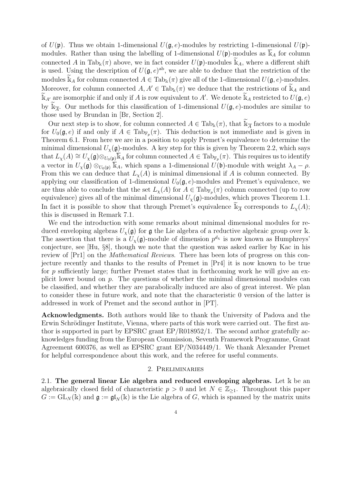of  $U(\mathfrak{p})$ . Thus we obtain 1-dimensional  $U(\mathfrak{g}, e)$ -modules by restricting 1-dimensional  $U(\mathfrak{p})$ modules. Rather than using the labelling of 1-dimensional  $U(\mathfrak{p})$ -modules as  $\overline{k}_A$  for column connected A in Tab<sub>k</sub> $(\pi)$  above, we in fact consider  $U(\mathfrak{p})$ -modules k<sub>A</sub>, where a different shift is used. Using the description of  $U(\mathfrak{g},e)^{ab}$ , we are able to deduce that the restriction of the modules  $\Bbbk_A$  for column connected  $A \in \text{Tab}_\Bbbk(\pi)$  give all of the 1-dimensional  $U(\mathfrak{g}, e)$ -modules. Moreover, for column connected  $A, A' \in \text{Tab}_k(\pi)$  we deduce that the restrictions of  $\mathbb{k}_A$  and  $\widetilde{\mathbb{k}}_{A'}$  are isomorphic if and only if A is row equivalent to A'. We denote  $\widetilde{\mathbb{k}}_A$  restricted to  $U(\mathfrak{g}, e)$ by  $\widetilde{\mathbb{K}}_{\overline{A}}$ . Our methods for this classification of 1-dimensional  $U(\mathfrak{g}, e)$ -modules are similar to those used by Brundan in [Br, Section 2].

Our next step is to show, for column connected  $A \in \text{Tab}_\Bbbk(\pi)$ , that  $\widetilde{\Bbbk}_{\overline{A}}$  factors to a module for  $U_0(\mathfrak{g},e)$  if and only if  $A \in \text{Tab}_{\mathbb{F}_p}(\pi)$ . This deduction is not immediate and is given in Theorem 6.1. From here we are in a position to apply Premet's equivalence to determine the minimal dimensional  $U_{\gamma}(\mathfrak{g})$ -modules. A key step for this is given by Theorem 2.2, which says that  $L_{\chi}(A) \cong U_{\chi}(\mathfrak{g}) \otimes_{U_0(\mathfrak{p})} \overline{\mathbb{k}}_A$  for column connected  $A \in \text{Tab}_{\mathbb{F}_p}(\pi)$ . This requires us to identify a vector in  $U_{\chi}(\mathfrak{g}) \otimes_{U_0(\mathfrak{p})} \mathbb{k}_A$ , which spans a 1-dimensional  $U(\mathfrak{b})$ -module with weight  $\lambda_A - \rho$ . From this we can deduce that  $L_{\chi}(A)$  is minimal dimensional if A is column connected. By applying our classification of 1-dimensional  $U_0(\mathfrak{g}, e)$ -modules and Premet's equivalence, we are thus able to conclude that the set  $L_{\chi}(A)$  for  $A \in \text{Tab}_{\mathbb{F}_p}(\pi)$  column connected (up to row equivalence) gives all of the minimal dimensional  $U_{\chi}(\mathfrak{g})$ -modules, which proves Theorem 1.1. In fact it is possible to show that through Premet's equivalence  $\widetilde{\mathbb{K}}_{\overline{A}}$  corresponds to  $L_{\chi}(A)$ ; this is discussed in Remark 7.1.

We end the introduction with some remarks about minimal dimensional modules for reduced enveloping algebras  $U_{\chi}(\mathfrak{g})$  for  $\mathfrak{g}$  the Lie algebra of a reductive algebraic group over k. The assertion that there is a  $U_{\chi}(\mathfrak{g})$ -module of dimension  $p^{d_{\chi}}$  is now known as Humphreys' conjecture, see [Hu, §8], though we note that the question was asked earlier by Kac in his review of [Pr1] on the Mathematical Reviews. There has been lots of progress on this conjecture recently and thanks to the results of Premet in [Pr4] it is now known to be true for  $p$  sufficiently large; further Premet states that in forthcoming work he will give an explicit lower bound on  $p$ . The questions of whether the minimal dimensional modules can be classified, and whether they are parabolically induced are also of great interest. We plan to consider these in future work, and note that the characteristic 0 version of the latter is addressed in work of Premet and the second author in [PT].

Acknowledgments. Both authors would like to thank the University of Padova and the Erwin Schrödinger Institute, Vienna, where parts of this work were carried out. The first author is supported in part by EPSRC grant EP/R018952/1. The second author gratefully acknowledges funding from the European Commission, Seventh Framework Programme, Grant Agreement 600376, as well as EPSRC grant EP/N034449/1. We thank Alexander Premet for helpful correspondence about this work, and the referee for useful comments.

#### 2. Preliminaries

2.1. The general linear Lie algebra and reduced enveloping algebras. Let  $\Bbbk$  be an algebraically closed field of characteristic  $p > 0$  and let  $N \in \mathbb{Z}_{\geq 1}$ . Throughout this paper  $G := GL_N(\mathbb{k})$  and  $\mathfrak{g} := \mathfrak{gl}_N(\mathbb{k})$  is the Lie algebra of G, which is spanned by the matrix units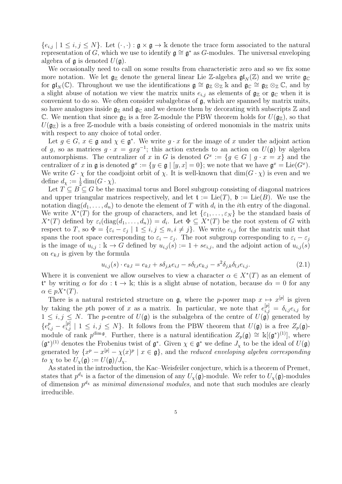${e_{i,j} | 1 \leq i,j \leq N}$ . Let  $(\cdot, \cdot) : \mathfrak{g} \times \mathfrak{g} \to \mathbb{k}$  denote the trace form associated to the natural representation of G, which we use to identify  $\mathfrak{g} \cong \mathfrak{g}^*$  as G-modules. The universal enveloping algebra of  $\mathfrak g$  is denoted  $U(\mathfrak g)$ .

We occasionally need to call on some results from characteristic zero and so we fix some more notation. We let  $\mathfrak{g}_\mathbb{Z}$  denote the general linear Lie Z-algebra  $\mathfrak{gl}_N(\mathbb{Z})$  and we write  $\mathfrak{g}_\mathbb{C}$ for  $\mathfrak{gl}_N(\mathbb{C})$ . Throughout we use the identifications  $\mathfrak{g} \cong \mathfrak{g}_{\mathbb{Z}} \otimes_{\mathbb{Z}} \mathbb{K}$  and  $\mathfrak{g}_\mathbb{C} \cong \mathfrak{g}_{\mathbb{Z}} \otimes_{\mathbb{Z}} \mathbb{C}$ , and by a slight abuse of notation we view the matrix units  $e_{i,j}$  as elements of  $\mathfrak{g}_\mathbb{Z}$  or  $\mathfrak{g}_\mathbb{C}$  when it is convenient to do so. We often consider subalgebras of g, which are spanned by matrix units, so have analogues inside  $\mathfrak{g}_\mathbb{Z}$  and  $\mathfrak{g}_\mathbb{C}$  and we denote them by decorating with subscripts  $\mathbb Z$  and C. We mention that since  $\mathfrak{g}_\mathbb{Z}$  is a free Z-module the PBW theorem holds for  $U(\mathfrak{g}_\mathbb{Z})$ , so that  $U(\mathfrak{g}_{\mathbb{Z}})$  is a free Z-module with a basis consisting of ordered monomials in the matrix units with respect to any choice of total order.

Let  $g \in G$ ,  $x \in \mathfrak{g}$  and  $\chi \in \mathfrak{g}^*$ . We write  $g \cdot x$  for the image of x under the adjoint action of g, so as matrices  $g \cdot x = gxg^{-1}$ ; this action extends to an action on  $U(\mathfrak{g})$  by algebra automorphisms. The centralizer of x in G is denoted  $G^x := \{g \in G \mid g \cdot x = x\}$  and the centralizer of x in g is denoted  $\mathfrak{g}^x := \{y \in \mathfrak{g} \mid [y, x] = 0\}$ ; we note that we have  $\mathfrak{g}^x = \text{Lie}(G^x)$ . We write  $G \cdot \chi$  for the coadjoint orbit of  $\chi$ . It is well-known that  $\dim(G \cdot \chi)$  is even and we define  $d_{\chi} := \frac{1}{2} \dim(G \cdot \chi)$ .

Let  $T \subseteq B \subseteq G$  be the maximal torus and Borel subgroup consisting of diagonal matrices and upper triangular matrices respectively, and let  $\mathfrak{t} := \text{Lie}(T)$ ,  $\mathfrak{b} := \text{Lie}(B)$ . We use the notation  $diag(d_1, \ldots, d_n)$  to denote the element of T with  $d_i$  in the *i*th entry of the diagonal. We write  $X^*(T)$  for the group of characters, and let  $\{\varepsilon_1,\ldots,\varepsilon_N\}$  be the standard basis of  $X^*(T)$  defined by  $\varepsilon_i(\text{diag}(d_1,\ldots,d_n)) = d_i$ . Let  $\Phi \subseteq X^*(T)$  be the root system of G with respect to T, so  $\Phi = {\varepsilon_i - \varepsilon_j \mid 1 \le i, j \le n, i \ne j}.$  We write  $e_{i,j}$  for the matrix unit that spans the root space corresponding to  $\varepsilon_i - \varepsilon_j$ . The root subgroup corresponding to  $\varepsilon_i - \varepsilon_j$ is the image of  $u_{i,j} : \mathbb{k} \to G$  defined by  $u_{i,j}(s) := 1 + s e_{i,j}$ , and the adjoint action of  $u_{i,j}(s)$ on  $e_{k,l}$  is given by the formula

$$
u_{i,j}(s) \cdot e_{k,l} = e_{k,l} + s\delta_{j,k}e_{i,l} - s\delta_{l,i}e_{k,j} - s^2\delta_{j,k}\delta_{l,i}e_{i,j}.
$$
 (2.1)

Where it is convenient we allow ourselves to view a character  $\alpha \in X^*(T)$  as an element of  $\mathfrak{t}^*$  by writing  $\alpha$  for  $d\alpha : \mathfrak{t} \to \mathbb{k}$ ; this is a slight abuse of notation, because  $d\alpha = 0$  for any  $\alpha \in pX^*(T).$ 

There is a natural restricted structure on  $\mathfrak{g}$ , where the p-power map  $x \mapsto x^{[p]}$  is given by taking the pth power of x as a matrix. In particular, we note that  $e_{i,j}^{[p]} = \delta_{i,j} e_{i,j}$  for  $1 \leq i, j \leq N$ . The p-centre of  $U(\mathfrak{g})$  is the subalgebra of the centre of  $U(\mathfrak{g})$  generated by  ${e_{i,j}^p - e_{i,j}^{[p]} \mid 1 \leq i,j \leq N}$ . It follows from the PBW theorem that  $U(\mathfrak{g})$  is a free  $Z_p(\mathfrak{g})$ module of rank  $p^{\dim \mathfrak{g}}$ . Further, there is a natural identification  $Z_p(\mathfrak{g}) \cong \mathbb{k}[(\mathfrak{g}^*)^{(1)}]$ , where  $(\mathfrak{g}^*)^{(1)}$  denotes the Frobenius twist of  $\mathfrak{g}^*$ . Given  $\chi \in \mathfrak{g}^*$  we define  $J_{\chi}$  to be the ideal of  $U(\mathfrak{g})$ generated by  $\{x^p - x^{[p]} - \chi(x)^p \mid x \in \mathfrak{g}\},$  and the reduced enveloping algebra corresponding to  $\chi$  to be  $U_{\chi}(\mathfrak{g}) := U(\mathfrak{g})/J_{\chi}$ .

As stated in the introduction, the Kac–Weisfeiler conjecture, which is a theorem of Premet, states that  $p^{d_x}$  is a factor of the dimension of any  $U_\chi(\mathfrak{g})$ -module. We refer to  $U_\chi(\mathfrak{g})$ -modules of dimension  $p^{d_x}$  as *minimal dimensional modules*, and note that such modules are clearly irreducible.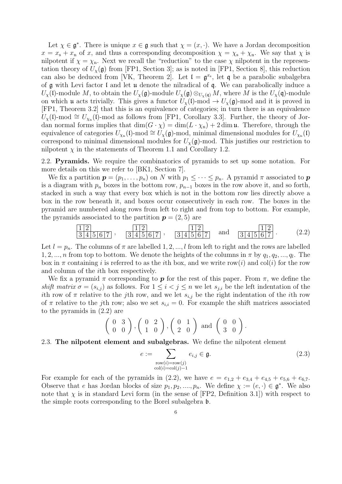Let  $\chi \in \mathfrak{g}^*$ . There is unique  $x \in \mathfrak{g}$  such that  $\chi = (x, \cdot)$ . We have a Jordan decomposition  $x = x_s + x_n$  of x, and thus a corresponding decomposition  $\chi = \chi_s + \chi_n$ . We say that  $\chi$  is nilpotent if  $\chi = \chi_{\rm n}$ . Next we recall the "reduction" to the case  $\chi$  nilpotent in the representation theory of  $U_{\chi}(\mathfrak{g})$  from [FP1, Section 3]; as is noted in [FP1, Section 8], this reduction can also be deduced from [VK, Theorem 2]. Let  $\mathfrak{l} = \mathfrak{g}^{x_s}$ , let q be a parabolic subalgebra of  $\mathfrak g$  with Levi factor I and let  $\mathfrak u$  denote the nilradical of  $\mathfrak q$ . We can parabolically induce a  $U_{\chi}(\mathfrak{l})$ -module M, to obtain the  $U_{\chi}(\mathfrak{g})$ -module  $U_{\chi}(\mathfrak{g}) \otimes_{U_{\chi}(\mathfrak{q})} M$ , where M is the  $U_{\chi}(\mathfrak{q})$ -module on which **u** acts trivially. This gives a functor  $U_\chi(\mathfrak{l})$ -mod  $\to U_\chi(\mathfrak{g})$ -mod and it is proved in [FP1, Theorem 3.2] that this is an equivalence of categories; in turn there is an equivalence  $U_{\chi}(\mathfrak{l})$ -mod  $\cong U_{\chi_{\mathfrak{m}}}(\mathfrak{l})$ -mod as follows from [FP1, Corollary 3.3]. Further, the theory of Jordan normal forms implies that  $\dim(G \cdot \chi) = \dim(L \cdot \chi_n) + 2 \dim \mathfrak{u}$ . Therefore, through the equivalence of categories  $U_{\chi_n}(\mathfrak{l})$ -mod  $\cong U_{\chi}(\mathfrak{g})$ -mod, minimal dimensional modules for  $U_{\chi_n}(\mathfrak{l})$ correspond to minimal dimensional modules for  $U_{\gamma}(\mathfrak{g})$ -mod. This justifies our restriction to nilpotent  $\chi$  in the statements of Theorem 1.1 and Corollary 1.2.

2.2. Pyramids. We require the combinatorics of pyramids to set up some notation. For more details on this we refer to [BK1, Section 7].

We fix a partition  $p = (p_1, \ldots, p_n)$  on N with  $p_1 \leq \cdots \leq p_n$ . A pyramid  $\pi$  associated to p is a diagram with  $p_n$  boxes in the bottom row,  $p_{n-1}$  boxes in the row above it, and so forth, stacked in such a way that every box which is not in the bottom row lies directly above a box in the row beneath it, and boxes occur consecutively in each row. The boxes in the pyramid are numbered along rows from left to right and from top to bottom. For example, the pyramids associated to the partition  $p = (2, 5)$  are

$$
\frac{1}{3}\frac{2}{4}\frac{1}{5}\frac{1}{6}\frac{2}{7}, \frac{1}{3}\frac{2}{4}\frac{1}{5}\frac{2}{6}\frac{1}{7}, \frac{1}{3}\frac{2}{4}\frac{1}{5}\frac{2}{6}\frac{1}{7}.
$$
 (2.2)

Let  $l = p_n$ . The columns of  $\pi$  are labelled 1, 2, ..., l from left to right and the rows are labelled 1, 2, ..., n from top to bottom. We denote the heights of the columns in  $\pi$  by  $q_1, q_2, ..., q_l$ . The box in  $\pi$  containing i is referred to as the ith box, and we write row(i) and col(i) for the row and column of the ith box respectively.

We fix a pyramid  $\pi$  corresponding to **p** for the rest of this paper. From  $\pi$ , we define the shift matrix  $\sigma = (s_{i,j})$  as follows. For  $1 \leq i < j \leq n$  we let  $s_{j,i}$  be the left indentation of the ith row of  $\pi$  relative to the j<sup>th</sup> row, and we let  $s_{i,j}$  be the right indentation of the *i*th row of  $\pi$  relative to the j<sup>th</sup> row; also we set  $s_{i,i} = 0$ . For example the shift matrices associated to the pyramids in (2.2) are

$$
\left(\begin{array}{cc}0 & 3\\0 & 0\end{array}\right), \left(\begin{array}{cc}0 & 2\\1 & 0\end{array}\right), \left(\begin{array}{cc}0 & 1\\2 & 0\end{array}\right) \text{ and } \left(\begin{array}{cc}0 & 0\\3 & 0\end{array}\right).
$$

2.3. The nilpotent element and subalgebras. We define the nilpotent element

$$
e := \sum_{\substack{\text{row}(i) = \text{row}(j) \\ \text{col}(i) = \text{col}(j) - 1}} e_{i,j} \in \mathfrak{g}.
$$
\n
$$
(2.3)
$$

For example for each of the pyramids in (2.2), we have  $e = e_{1,2} + e_{3,4} + e_{4,5} + e_{5,6} + e_{6,7}$ . Observe that e has Jordan blocks of size  $p_1, p_2, ..., p_n$ . We define  $\chi := (e, \cdot) \in \mathfrak{g}^*$ . We also note that  $\chi$  is in standard Levi form (in the sense of [FP2, Definition 3.1]) with respect to the simple roots corresponding to the Borel subalgebra b.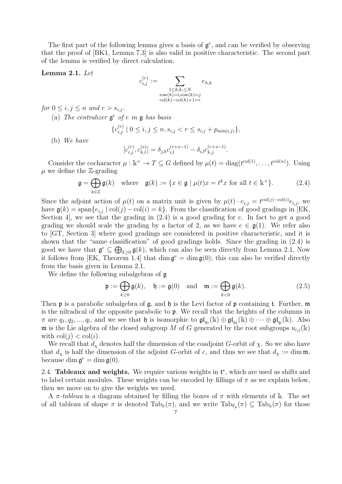The first part of the following lemma gives a basis of  $\mathfrak{g}^e$ , and can be verified by observing that the proof of [BK1, Lemma 7.3] is also valid in positive characteristic. The second part of the lemma is verified by direct calculation.

#### Lemma 2.1. Let

$$
c_{i,j}^{(r)} := \sum_{\substack{1 \le h,k,\le N \\ \text{row}(h)=i,\text{row}(k)=j \\ \text{col}(k)-\text{col}(h)+1=r}} e_{h,k}
$$

for  $0 \leq i, j \leq n$  and  $r > s_{i,j}$ .

(a) The centralizer  $\mathfrak{g}^e$  of e in  $\mathfrak{g}$  has basis

$$
\{c_{i,j}^{(r)} \mid 0 \le i, j \le n, s_{i,j} < r \le s_{i,j} + p_{\min(i,j)}\},\
$$

(b) We have

$$
[c_{i,j}^{(r)},c_{k,l}^{(s)}]=\delta_{j,k}c_{i,l}^{(r+s-1)}-\delta_{i,l}c_{k,j}^{(r+s-1)}.
$$

Consider the cocharacter  $\mu : \mathbb{k}^{\times} \to T \subseteq G$  defined by  $\mu(t) = \text{diag}(t^{\text{col}(1)}, \dots, t^{\text{col}(n)})$ . Using  $\mu$  we define the Z-grading

$$
\mathfrak{g} = \bigoplus_{k \in \mathbb{Z}} \mathfrak{g}(k) \quad \text{where} \quad \mathfrak{g}(k) := \{ x \in \mathfrak{g} \mid \mu(t)x = t^k x \text{ for all } t \in \mathbb{R}^\times \}. \tag{2.4}
$$

Since the adjoint action of  $\mu(t)$  on a matrix unit is given by  $\mu(t) \cdot e_{i,j} = t^{\text{col}(j) - \text{col}(i)} e_{i,j}$ , we have  $\mathfrak{g}(k) = \text{span}\{e_{i,j} \mid \text{col}(j) - \text{col}(i) = k\}.$  From the classification of good gradings in [EK, Section 4, we see that the grading in  $(2.4)$  is a good grading for e. In fact to get a good grading we should scale the grading by a factor of 2, as we have  $e \in \mathfrak{g}(1)$ . We refer also to [GT, Section 3] where good gradings are considered in positive characteristic, and it is shown that the "same classification" of good gradings holds. Since the grading in (2.4) is good we have that  $\mathfrak{g}^e \subseteq \bigoplus_{k \geq 0} \mathfrak{g}(k)$ , which can also be seen directly from Lemma 2.1, Now it follows from [EK, Theorem 1.4] that dim  $\mathfrak{g}^e = \dim \mathfrak{g}(0)$ ; this can also be verified directly from the basis given in Lemma 2.1.

We define the following subalgebras of  $\mathfrak g$ 

$$
\mathfrak{p} := \bigoplus_{k \ge 0} \mathfrak{g}(k), \quad \mathfrak{h} := \mathfrak{g}(0) \quad \text{and} \quad \mathfrak{m} := \bigoplus_{k < 0} \mathfrak{g}(k). \tag{2.5}
$$

Then  $\mathfrak p$  is a parabolic subalgebra of  $\mathfrak g$ , and  $\mathfrak h$  is the Levi factor of  $\mathfrak p$  containing t. Further,  $\mathfrak m$ is the nilradical of the opposite parabolic to p. We recall that the heights of the columns in  $\pi$  are  $q_1, q_2, ..., q_l$ , and we see that  $\mathfrak h$  is isomorphic to  $\mathfrak{gl}_{q_1}(\mathbbk) \oplus \mathfrak{gl}_{q_2}(\mathbbk) \oplus \cdots \oplus \mathfrak{gl}_{q_l}(\mathbbk)$ . Also m is the Lie algebra of the closed subgroup M of G generated by the root subgroups  $u_{i,j}(\mathbf{k})$ with  $col(j) < col(i)$ .

We recall that  $d_{\chi}$  denotes half the dimension of the coadjoint G-orbit of  $\chi$ . So we also have that  $d_{\chi}$  is half the dimension of the adjoint G-orbit of e, and thus we see that  $d_{\chi} := \dim \mathfrak{m}$ , because dim  $\mathfrak{g}^e = \dim \mathfrak{g}(0)$ .

2.4. Tableaux and weights. We require various weights in  $t^*$ , which are used as shifts and to label certain modules. These weights can be encoded by fillings of  $\pi$  as we explain below, then we move on to give the weights we need.

A  $\pi$ -tableau is a diagram obtained by filling the boxes of  $\pi$  with elements of k. The set of all tableau of shape  $\pi$  is denoted  $Tab_k(\pi)$ , and we write  $Tab_{\mathbb{F}_p}(\pi) \subseteq Tab_k(\pi)$  for those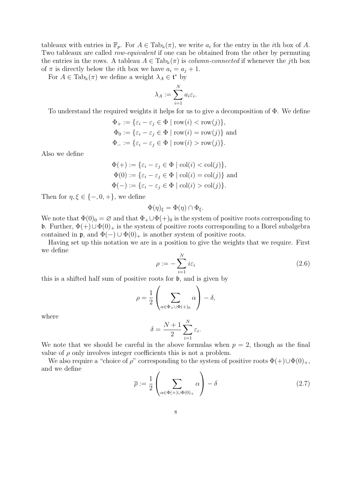tableaux with entries in  $\mathbb{F}_p$ . For  $A \in \text{Tab}_\mathbb{k}(\pi)$ , we write  $a_i$  for the entry in the *i*th box of A. Two tableaux are called row-equivalent if one can be obtained from the other by permuting the entries in the rows. A tableau  $A \in \text{Tab}_k(\pi)$  is *column-connected* if whenever the j<sup>th</sup> box of  $\pi$  is directly below the *i*th box we have  $a_i = a_j + 1$ .

For  $A \in \text{Tab}_k(\pi)$  we define a weight  $\lambda_A \in \mathfrak{t}^*$  by

$$
\lambda_A := \sum_{i=1}^N a_i \varepsilon_i.
$$

To understand the required weights it helps for us to give a decomposition of Φ. We define

$$
\Phi_+ := \{ \varepsilon_i - \varepsilon_j \in \Phi \mid \text{row}(i) < \text{row}(j) \},
$$
\n
$$
\Phi_0 := \{ \varepsilon_i - \varepsilon_j \in \Phi \mid \text{row}(i) = \text{row}(j) \} \text{ and}
$$
\n
$$
\Phi_- := \{ \varepsilon_i - \varepsilon_j \in \Phi \mid \text{row}(i) > \text{row}(j) \}.
$$

Also we define

$$
\Phi(+) := \{ \varepsilon_i - \varepsilon_j \in \Phi \mid \text{col}(i) < \text{col}(j) \},
$$
\n
$$
\Phi(0) := \{ \varepsilon_i - \varepsilon_j \in \Phi \mid \text{col}(i) = \text{col}(j) \} \text{ and}
$$
\n
$$
\Phi(-) := \{ \varepsilon_i - \varepsilon_j \in \Phi \mid \text{col}(i) > \text{col}(j) \}.
$$

Then for  $\eta, \xi \in \{-, 0, +\}$ , we define

$$
\Phi(\eta)_{\xi} = \Phi(\eta) \cap \Phi_{\xi}.
$$

We note that  $\Phi(0)_0 = \varnothing$  and that  $\Phi_+ \cup \Phi(+)_0$  is the system of positive roots corresponding to b. Further,  $\Phi(+) \cup \Phi(0)_+$  is the system of positive roots corresponding to a Borel subalgebra contained in  $\mathfrak{p}$ , and  $\Phi(-) \cup \Phi(0)_+$  is another system of positive roots.

Having set up this notation we are in a position to give the weights that we require. First we define

$$
\rho := -\sum_{i=1}^{N} i\varepsilon_i \tag{2.6}
$$

this is a shifted half sum of positive roots for b, and is given by

$$
\rho = \frac{1}{2} \left( \sum_{\alpha \in \Phi_+ \cup \Phi(+)_0} \alpha \right) - \delta,
$$

where

$$
\delta = \frac{N+1}{2} \sum_{i=1}^{N} \varepsilon_i.
$$

We note that we should be careful in the above formulas when  $p = 2$ , though as the final value of  $\rho$  only involves integer coefficients this is not a problem.

We also require a "choice of  $\rho$ " corresponding to the system of positive roots  $\Phi(+)\cup\Phi(0)_+,$ and we define

$$
\overline{\rho} := \frac{1}{2} \left( \sum_{\alpha \in \Phi(+) \cup \Phi(0)_+} \alpha \right) - \delta \tag{2.7}
$$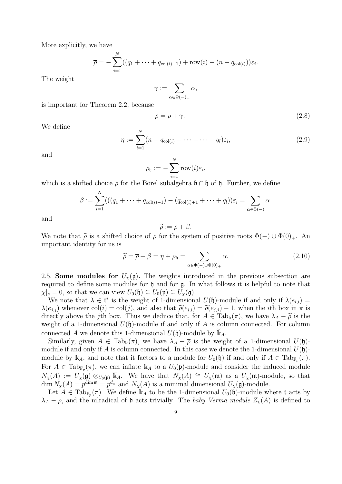More explicitly, we have

$$
\overline{\rho} = -\sum_{i=1}^{N} ((q_1 + \dots + q_{\text{col}(i)-1}) + \text{row}(i) - (n - q_{\text{col}(i)}))\varepsilon_i.
$$

The weight

 $\gamma := \sum$  $\alpha \in \Phi(-)_{+}$  $\alpha,$ 

is important for Theorem 2.2, because

$$
\rho = \overline{\rho} + \gamma. \tag{2.8}
$$

We define

$$
\eta := \sum_{i=1}^{N} (n - q_{\text{col}(i)} - \dots - \dots - q_l) \varepsilon_i,
$$
\n(2.9)

and

$$
\rho_{\mathfrak{h}} := -\sum_{i=1}^N \text{row}(i)\varepsilon_i,
$$

which is a shifted choice  $\rho$  for the Borel subalgebra  $\mathfrak{b} \cap \mathfrak{h}$  of  $\mathfrak{h}$ . Further, we define

$$
\beta := \sum_{i=1}^{N} (((q_1 + \dots + q_{\text{col}(i)-1}) - (q_{\text{col}(i)+1} + \dots + q_l))\varepsilon_i = \sum_{\alpha \in \Phi(-)} \alpha.
$$

and

$$
\widetilde{\rho} := \overline{\rho} + \beta.
$$

We note that  $\tilde{\rho}$  is a shifted choice of  $\rho$  for the system of positive roots  $\Phi(-) \cup \Phi(0)_{+}$ . An important identity for us is important identity for us is

$$
\widetilde{\rho} = \overline{\rho} + \beta = \eta + \rho_{\mathfrak{h}} = \sum_{\alpha \in \Phi(-) \cup \Phi(0)_+} \alpha.
$$
\n(2.10)

2.5. Some modules for  $U_{\chi}(\mathfrak{g})$ . The weights introduced in the previous subsection are required to define some modules for h and for g. In what follows it is helpful to note that  $\chi|_{\mathfrak{p}} = 0$ , so that we can view  $U_0(\mathfrak{h}) \subseteq U_0(\mathfrak{p}) \subseteq U_\chi(\mathfrak{g})$ .

We note that  $\lambda \in \mathfrak{t}^*$  is the weight of 1-dimensional  $U(\mathfrak{h})$ -module if and only if  $\lambda(e_{i,i}) =$  $\lambda(e_{i,j})$  whenever col(i) = col(j), and also that  $\tilde{\rho}(e_{i,i}) = \tilde{\rho}(e_{i,j}) - 1$ , when the ith box in  $\pi$  is directly above the jth box. Thus we deduce that, for  $A \in \text{Tab}_k(\pi)$ , we have  $\lambda_A - \widetilde{\rho}$  is the weight of a 1-dimensional  $U(\mathfrak{h})$ -module if and only if A is column connected. For column connected A we denote this 1-dimensional  $U(\mathfrak{h})$ -module by  $\mathbb{k}_A$ .

Similarly, given  $A \in \text{Tab}_k(\pi)$ , we have  $\lambda_A - \overline{\rho}$  is the weight of a 1-dimensional  $U(\mathfrak{h})$ module if and only if A is column connected. In this case we denote the 1-dimensional  $U(\mathfrak{h})$ module by  $\overline{\mathbb{k}}_A$ , and note that it factors to a module for  $U_0(\mathfrak{h})$  if and only if  $A \in \text{Tab}_{\mathbb{F}_p}(\pi)$ . For  $A \in \text{Tab}_{\mathbb{F}_p}(\pi)$ , we can inflate  $\overline{\mathbb{K}}_A$  to a  $U_0(\mathfrak{p})$ -module and consider the induced module  $N_\chi(A) := U_\chi(\mathfrak{g}) \otimes_{U_0(\mathfrak{p})} \overline{\mathbb{K}}_A$ . We have that  $N_\chi(A) \cong U_\chi(\mathfrak{m})$  as a  $U_\chi(\mathfrak{m})$ -module, so that  $\dim N_\chi(A) = p^{\dim \mathfrak{m}} = p^{d_\chi}$  and  $N_\chi(A)$  is a minimal dimensional  $U_\chi(\mathfrak{g})$ -module.

Let  $A \in \text{Tab}_{\mathbb{F}_p}(\pi)$ . We define  $\mathbb{R}_A$  to be the 1-dimensional  $U_0(\widetilde{\mathfrak{b}})$ -module where t acts by  $\lambda_A - \rho$ , and the nilradical of **b** acts trivially. The baby Verma module  $Z_{\chi}(A)$  is defined to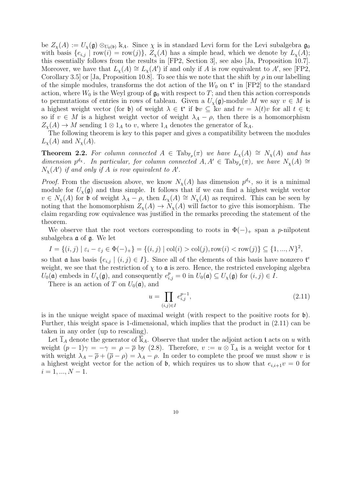be  $Z_{\chi}(A) := U_{\chi}(\mathfrak{g}) \otimes_{U_0(\mathfrak{b})} \mathbb{k}_A$ . Since  $\chi$  is in standard Levi form for the Levi subalgebra  $\mathfrak{g}_0$ with basis  $\{e_{i,j} \mid \text{row}(i) = \text{row}(j)\}, Z_{\chi}(A)$  has a simple head, which we denote by  $L_{\chi}(A)$ ; this essentially follows from the results in [FP2, Section 3], see also [Ja, Proposition 10.7]. Moreover, we have that  $L_{\chi}(A) \cong L_{\chi}(A')$  if and only if A is row equivalent to A', see [FP2, Corollary 3.5] or [Ja, Proposition 10.8]. To see this we note that the shift by  $\rho$  in our labelling of the simple modules, transforms the dot action of the  $W_0$  on  $\mathfrak{t}^*$  in [FP2] to the standard action, where  $W_0$  is the Weyl group of  $\mathfrak{g}_0$  with respect to T; and then this action corresponds to permutations of entries in rows of tableau. Given a  $U_{\chi}(\mathfrak{g})$ -module M we say  $v \in M$  is a highest weight vector (for b) of weight  $\lambda \in \mathfrak{t}^*$  if  $\mathfrak{b}v \subseteq \mathbb{k}v$  and  $tv = \lambda(t)v$  for all  $t \in \mathfrak{t}$ ; so if  $v \in M$  is a highest weight vector of weight  $\lambda_A - \rho$ , then there is a homomorphism  $Z_{\chi}(A) \to M$  sending  $1 \otimes 1_A$  to v, where  $1_A$  denotes the generator of  $\mathbb{k}_A$ .

The following theorem is key to this paper and gives a compatibility between the modules  $L_{\chi}(A)$  and  $N_{\chi}(A)$ .

**Theorem 2.2.** For column connected  $A \in \text{Tab}_{\mathbb{F}_p}(\pi)$  we have  $L_{\chi}(A) \cong N_{\chi}(A)$  and has dimension  $p^{d_x}$ . In particular, for column connected  $A, A' \in \text{Tab}_{\mathbb{F}_p}(\pi)$ , we have  $N_{\chi}(A) \cong$  $N_{\chi}(A')$  if and only if A is row equivalent to A'.

*Proof.* From the discussion above, we know  $N_{\chi}(A)$  has dimension  $p^{d_{\chi}}$ , so it is a minimal module for  $U_{\chi}(\mathfrak{g})$  and thus simple. It follows that if we can find a highest weight vector  $v \in N_{\chi}(A)$  for b of weight  $\lambda_A - \rho$ , then  $L_{\chi}(A) \cong N_{\chi}(A)$  as required. This can be seen by noting that the homomorphism  $Z_{\chi}(A) \to N_{\chi}(A)$  will factor to give this isomorphism. The claim regarding row equivalence was justified in the remarks preceding the statement of the theorem.

We observe that the root vectors corresponding to roots in  $\Phi(-)$  span a p-nilpotent subalgebra a of g. We let

$$
I = \{(i, j) \mid \varepsilon_i - \varepsilon_j \in \Phi(-)_{+}\} = \{(i, j) \mid \text{col}(i) > \text{col}(j), \text{row}(i) < \text{row}(j)\} \subseteq \{1, ..., N\}^2,
$$

so that **a** has basis  $\{e_{i,j} \mid (i,j) \in I\}$ . Since all of the elements of this basis have nonzero  $\mathfrak{t}^e$ weight, we see that the restriction of  $\chi$  to  $\mathfrak a$  is zero. Hence, the restricted enveloping algebra  $U_0(\mathfrak{a})$  embeds in  $U_\chi(\mathfrak{g})$ , and consequently  $e_{i,j}^p = 0$  in  $U_0(\mathfrak{a}) \subseteq U_\chi(\mathfrak{g})$  for  $(i,j) \in I$ .

There is an action of T on  $U_0(\mathfrak{a})$ , and

$$
u = \prod_{(i,j)\in I} e_{i,j}^{p-1},\tag{2.11}
$$

is in the unique weight space of maximal weight (with respect to the positive roots for  $\mathfrak{b}$ ). Further, this weight space is 1-dimensional, which implies that the product in (2.11) can be taken in any order (up to rescaling).

Let  $\overline{1}_A$  denote the generator of  $\overline{k}_A$ . Observe that under the adjoint action t acts on u with weight  $(p-1)\gamma = -\gamma = \rho - \overline{\rho}$  by (2.8). Therefore,  $v := u \otimes \overline{1}_A$  is a weight vector for t with weight  $\lambda_A - \overline{\rho} + (\overline{\rho} - \rho) = \lambda_A - \rho$ . In order to complete the proof we must show v is a highest weight vector for the action of  $\mathfrak b$ , which requires us to show that  $e_{i,i+1}v = 0$  for  $i = 1, ..., N - 1.$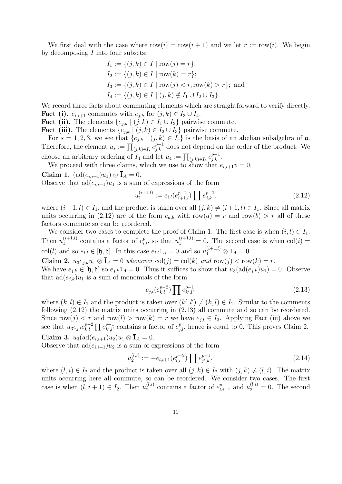We first deal with the case where  $row(i) = row(i + 1)$  and we let  $r := row(i)$ . We begin by decomposing  $I$  into four subsets:

$$
I_1 := \{(j, k) \in I \mid \text{row}(j) = r\};
$$
  
\n
$$
I_2 := \{(j, k) \in I \mid \text{row}(k) = r\};
$$
  
\n
$$
I_3 := \{(j, k) \in I \mid \text{row}(j) < r, \text{row}(k) > r\};
$$
 and  
\n
$$
I_4 := \{(j, k) \in I \mid (j, k) \notin I_1 \cup I_2 \cup I_3\}.
$$

We record three facts about commuting elements which are straightforward to verify directly. **Fact (i).**  $e_{i,i+1}$  commutes with  $e_{i,k}$  for  $(j,k) \in I_3 \cup I_4$ .

**Fact (ii).** The elements  $\{e_{j,k} | (j,k) \in I_1 \cup I_3\}$  pairwise commute.

**Fact (iii).** The elements  $\{e_{j,k} | (j,k) \in I_2 \cup I_3\}$  pairwise commute.

For  $s = 1, 2, 3$ , we see that  $\{e_{j,k} | (j,k) \in I_s\}$  is the basis of an abelian subalgebra of  $\mathfrak{a}$ . Therefore, the element  $u_s := \prod_{(j,k)\in I_s} e_{j,k}^{p-1}$  does not depend on the order of the product. We choose an arbitrary ordering of  $I_4$  and let  $u_4 := \prod_{(j,k)\in I_4} e_{j,k}^{p-1}$ .

We proceed with three claims, which we use to show that  $e_{i,i+1}v = 0$ .

Claim 1.  $(\text{ad}(e_{i,i+1})u_1) \otimes \overline{1}_A = 0.$ 

Observe that  $ad(e_{i,i+1})u_1$  is a sum of expressions of the form

$$
u_1^{(i+1,l)} := e_{i,l}(e_{i+1,l}^{p-2}) \prod e_{j,k}^{p-1}.
$$
\n(2.12)

where  $(i + 1, l) \in I_1$ , and the product is taken over all  $(j, k) \neq (i + 1, l) \in I_1$ . Since all matrix units occurring in (2.12) are of the form  $e_{a,b}$  with row $(a) = r$  and row $(b) > r$  all of these factors commute so can be reordered.

We consider two cases to complete the proof of Claim 1. The first case is when  $(i, l) \in I_1$ . Then  $u_1^{(i+1,l)}$  $u_1^{(i+1,l)}$  contains a factor of  $e_{i,l}^p$ , so that  $u_1^{(i+1,l)} = 0$ . The second case is when  $col(i) =$ col(*l*) and so  $e_{i,l} \in [\mathfrak{h}, \mathfrak{h}]$ . In this case  $e_{i,l} \overline{1}_A = 0$  and so  $u_1^{(i+1,l)} \otimes \overline{1}_A = 0$ .

Claim 2.  $u_3e_{i,k}u_1 \otimes \overline{1}_A = 0$  whenever  $col(j) = col(k)$  and  $row(j) < row(k) = r$ .

We have  $e_{i,k} \in [\mathfrak{h},\mathfrak{h}]$  so  $e_{i,k}\overline{1}_A = 0$ . Thus it suffices to show that  $u_3(\text{ad}(e_{j,k})u_1) = 0$ . Observe that  $\text{ad}(e_{i,k})u_1$  is a sum of monomials of the form

$$
e_{j,l}(e_{k,l}^{p-2}) \prod e_{k',l'}^{p-1} \tag{2.13}
$$

where  $(k, l) \in I_1$  and the product is taken over  $(k', l') \neq (k, l) \in I_1$ . Similar to the comments following (2.12) the matrix units occurring in (2.13) all commute and so can be reordered. Since row(j)  $\langle r \rangle$  and row(l)  $\langle r \rangle$  row(k) = r we have  $e_{j,l} \in I_3$ . Applying Fact (iii) above we see that  $u_3e_{j,l}e_{k,l}^{p-2}$  $_{k,l}^{p-2}$   $\prod e_{k',l'}^{p-1}$  $_{k',l'}^{p-1}$  contains a factor of  $e_{j,l}^p$ , hence is equal to 0. This proves Claim 2. Claim 3.  $u_3(\text{ad}(e_{i,i+1})u_2)u_1 \otimes \overline{1}_A = 0.$ 

Observe that  $ad(e_{i,i+1})u_2$  is a sum of expressions of the form

$$
u_2^{(l,i)} := -e_{l,i+1}(e_{l,i}^{p-2}) \prod e_{j',k}^{p-1}.
$$
 (2.14)

where  $(l, i) \in I_2$  and the product is taken over all  $(j, k) \in I_2$  with  $(j, k) \neq (l, i)$ . The matrix units occurring here all commute, so can be reordered. We consider two cases. The first case is when  $(l, i + 1) \in I_2$ . Then  $u_2^{(l,i)}$  $u_2^{(l,i)}$  contains a factor of  $e_{l,i+1}^p$  and  $u_2^{(l,i)} = 0$ . The second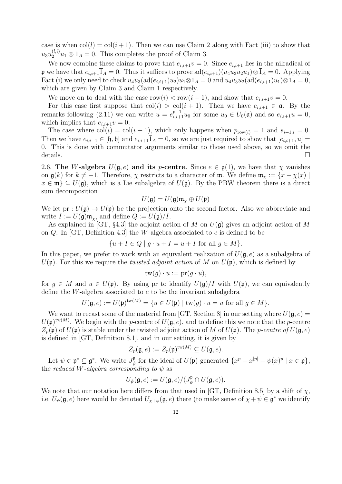case is when  $col(l) = col(i + 1)$ . Then we can use Claim 2 along with Fact (iii) to show that  $u_3 u_2^{(l,i)} u_1 \otimes \overline{1}_A = 0$ . This completes the proof of Claim 3.

We now combine these claims to prove that  $e_{i,i+1}v = 0$ . Since  $e_{i,i+1}$  lies in the nilradical of p we have that  $e_{i,i+1}\overline{1}_A = 0$ . Thus it suffices to prove  $\text{ad}(e_{i,i+1})(u_4u_3u_2u_1)\otimes \overline{1}_A = 0$ . Applying Fact (i) we only need to check  $u_4u_3(\text{ad}(e_{i,i+1})u_2)u_1\otimes\overline{1}_A=0$  and  $u_4u_3u_2(\text{ad}(e_{i,i+1})u_1)\otimes\overline{1}_A=0$ , which are given by Claim 3 and Claim 1 respectively.

We move on to deal with the case  $row(i) < row(i + 1)$ , and show that  $e_{i,i+1}v = 0$ .

For this case first suppose that  $col(i) > col(i + 1)$ . Then we have  $e_{i,i+1} \in \mathfrak{a}$ . By the remarks following (2.11) we can write  $u = e_{i,i+1}^{p-1} u_0$  for some  $u_0 \in U_0(\mathfrak{a})$  and so  $e_{i,i+1}u = 0$ , which implies that  $e_{i,i+1}v = 0$ .

The case where  $col(i) = col(i + 1)$ , which only happens when  $p_{row(i)} = 1$  and  $s_{i+1,i} = 0$ . Then we have  $e_{i,i+1} \in [\mathfrak{h},\mathfrak{h}]$  and  $e_{i,i+1}1_A = 0$ , so we are just required to show that  $[e_{i,i+1}, u] =$ 0. This is done with commutator arguments similar to those used above, so we omit the details.

2.6. The W-algebra  $U(\mathfrak{g}, e)$  and its p-centre. Since  $e \in \mathfrak{g}(1)$ , we have that  $\chi$  vanishes on  $\mathfrak{g}(k)$  for  $k \neq -1$ . Therefore,  $\chi$  restricts to a character of m. We define  $\mathfrak{m}_{\chi} := \{x - \chi(x) \mid$  $x \in \mathfrak{m} \subseteq U(\mathfrak{g})$ , which is a Lie subalgebra of  $U(\mathfrak{g})$ . By the PBW theorem there is a direct sum decomposition

$$
U(\mathfrak{g})=U(\mathfrak{g})\mathfrak{m}_{\chi}\oplus U(\mathfrak{p})
$$

We let  $pr: U(\mathfrak{g}) \to U(\mathfrak{p})$  be the projection onto the second factor. Also we abbreviate and write  $I := U(\mathfrak{g})\mathfrak{m}_{\gamma}$ , and define  $Q := U(\mathfrak{g})/I$ .

As explained in [GT, §4.3] the adjoint action of M on  $U(\mathfrak{g})$  gives an adjoint action of M on Q. In [GT, Definition 4.3] the W-algebra associated to e is defined to be

$$
\{u + I \in Q \mid g \cdot u + I = u + I \text{ for all } g \in M\}.
$$

In this paper, we prefer to work with an equivalent realization of  $U(\mathfrak{g},e)$  as a subalgebra of  $U(\mathfrak{p})$ . For this we require the *twisted adjoint action* of M on  $U(\mathfrak{p})$ , which is defined by

$$
\mathrm{tw}(g) \cdot u := \mathrm{pr}(g \cdot u),
$$

for  $g \in M$  and  $u \in U(\mathfrak{p})$ . By using pr to identify  $U(\mathfrak{g})/I$  with  $U(\mathfrak{p})$ , we can equivalently define the W-algebra associated to e to be the invariant subalgebra

$$
U(\mathfrak{g},e) := U(\mathfrak{p})^{\mathrm{tw}(M)} = \{ u \in U(\mathfrak{p}) \mid \mathrm{tw}(g) \cdot u = u \text{ for all } g \in M \}.
$$

We want to recast some of the material from [GT, Section 8] in our setting where  $U(\mathfrak{g}, e)$  =  $U(\mathfrak{p})^{\text{tw}(M)}$ . We begin with the p-centre of  $U(\mathfrak{g},e)$ , and to define this we note that the p-centre  $Z_p(\mathfrak{p})$  of  $U(\mathfrak{p})$  is stable under the twisted adjoint action of M of  $U(\mathfrak{p})$ . The p-centre of  $U(\mathfrak{g},e)$ is defined in [GT, Definition 8.1], and in our setting, it is given by

$$
Z_p(\mathfrak{g},e) := Z_p(\mathfrak{p})^{\mathrm{tw}(M)} \subseteq U(\mathfrak{g},e).
$$

Let  $\psi \in \mathfrak{p}^* \subseteq \mathfrak{g}^*$ . We write  $J_{\psi}^{\mathfrak{p}}$  $\psi^{\mathfrak{p}}_{\psi}$  for the ideal of  $U(\mathfrak{p})$  generated  $\{x^p - x^{[p]} - \psi(x)^p \mid x \in \mathfrak{p}\},\$ the reduced W-algebra corresponding to  $\psi$  as

$$
U_{\psi}(\mathfrak{g},e) := U(\mathfrak{g},e)/(J_{\psi}^{\mathfrak{p}} \cap U(\mathfrak{g},e)).
$$

We note that our notation here differs from that used in [GT, Definition 8.5] by a shift of  $\chi$ , i.e.  $U_{\psi}(\mathfrak{g},e)$  here would be denoted  $U_{\chi+\psi}(\mathfrak{g},e)$  there (to make sense of  $\chi+\psi\in\mathfrak{g}^*$  we identify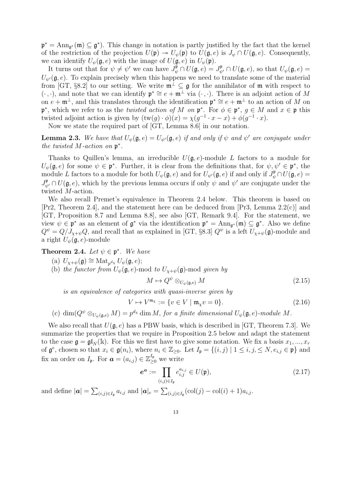$\mathfrak{p}^* = \text{Ann}_{\mathfrak{g}^*}(\mathfrak{m}) \subseteq \mathfrak{g}^*$ . This change in notation is partly justified by the fact that the kernel of the restriction of the projection  $U(\mathfrak{p}) \to U_{\psi}(\mathfrak{p})$  to  $U(\mathfrak{g}, e)$  is  $J_{\psi} \cap U(\mathfrak{g}, e)$ . Consequently, we can identify  $U_{\psi}(\mathfrak{g},e)$  with the image of  $U(\mathfrak{g},e)$  in  $U_{\psi}(\mathfrak{p})$ .

It turns out that for  $\psi \neq \psi'$  we can have  $J_{\psi}^{\mathfrak{p}} \cap U(\mathfrak{g},e) = J_{\psi'}^{\mathfrak{p}} \cap U(\mathfrak{g},e)$ , so that  $U_{\psi}(\mathfrak{g},e) =$  $U_{\psi}(\mathfrak{g},e)$ . To explain precisely when this happens we need to translate some of the material from [GT, §8.2] to our setting. We write  $\mathfrak{m}^{\perp} \subseteq \mathfrak{g}$  for the annihilator of  $\mathfrak{m}$  with respect to  $(\cdot, \cdot)$ , and note that we can identify  $\mathfrak{p}^* \cong e + \mathfrak{m}^{\perp}$  via  $(\cdot, \cdot)$ . There is an adjoint action of M on  $e + \mathfrak{m}^{\perp}$ , and this translates through the identification  $\mathfrak{p}^* \cong e + \mathfrak{m}^{\perp}$  to an action of M on  $\mathfrak{p}^*$ , which we refer to as the *twisted action of* M on  $\mathfrak{p}^*$ . For  $\phi \in \mathfrak{p}^*$ ,  $g \in M$  and  $x \in \mathfrak{p}$  this twisted adjoint action is given by  $(tw(g) \cdot \phi)(x) = \chi(g^{-1} \cdot x - x) + \phi(g^{-1} \cdot x)$ .

Now we state the required part of [GT, Lemma 8.6] in our notation.

**Lemma 2.3.** We have that  $U_{\psi}(\mathfrak{g},e) = U_{\psi'}(\mathfrak{g},e)$  if and only if  $\psi$  and  $\psi'$  are conjugate under the twisted  $M$ -action on  $\mathfrak{p}^*$ .

Thanks to Quillen's lemma, an irreducible  $U(\mathfrak{g},e)$ -module L factors to a module for  $U_{\psi}(\mathfrak{g},e)$  for some  $\psi \in \mathfrak{p}^*$ . Further, it is clear from the definitions that, for  $\psi, \psi' \in \mathfrak{p}^*$ , the module L factors to a module for both  $U_{\psi}(\mathfrak{g},e)$  and for  $U_{\psi'}(\mathfrak{g},e)$  if and only if  $J_{\psi}^{\mathfrak{p}} \cap U(\mathfrak{g},e)$  $J^{\mathfrak{p}}_{\psi'} \cap U(\mathfrak{g},e)$ , which by the previous lemma occurs if only  $\psi$  and  $\psi'$  are conjugate under the twisted M-action.

We also recall Premet's equivalence in Theorem 2.4 below. This theorem is based on [Pr2, Theorem 2.4], and the statement here can be deduced from [Pr3, Lemma 2.2(c)] and [GT, Proposition 8.7 and Lemma 8.8], see also [GT, Remark 9.4]. For the statement, we view  $\psi \in \mathfrak{p}^*$  as an element of  $\mathfrak{g}^*$  via the identification  $\mathfrak{p}^* = \text{Ann}_{\mathfrak{g}^*}(\mathfrak{m}) \subseteq \mathfrak{g}^*$ . Also we define  $Q^{\psi} = Q/J_{\chi+\psi}Q$ , and recall that as explained in [GT, §8.3]  $Q^{\psi}$  is a left  $U_{\chi+\psi}(\mathfrak{g})$ -module and a right  $U_{\psi}(\mathfrak{g},e)$ -module

**Theorem 2.4.** Let  $\psi \in \mathfrak{p}^*$ . We have

- (a)  $U_{\chi+\psi}(\mathfrak{g}) \cong \text{Mat}_{p^{d_{\chi}}} U_{\psi}(\mathfrak{g},e);$
- (b) the functor from  $U_{\psi}(\mathfrak{g},e)$ -mod to  $U_{\chi+\psi}(\mathfrak{g})$ -mod given by

$$
M \mapsto Q^{\psi} \otimes_{U_{\psi}(\mathfrak{g},e)} M \tag{2.15}
$$

is an equivalence of categories with quasi-inverse given by

$$
V \mapsto V^{\mathfrak{m}_{\chi}} := \{ v \in V \mid \mathfrak{m}_{\chi} v = 0 \}. \tag{2.16}
$$

(c)  $\dim(Q^{\psi}\otimes_{U_{\psi}(\mathfrak{g},e)}M)=p^{d_{\chi}}\dim M$ , for a finite dimensional  $U_{\psi}(\mathfrak{g},e)$ -module M.

We also recall that  $U(\mathfrak{g},e)$  has a PBW basis, which is described in [GT, Theorem 7.3]. We summarize the properties that we require in Proposition 2.5 below and adapt the statement to the case  $\mathfrak{g} = \mathfrak{gl}_N(\mathbb{k})$ . For this we first have to give some notation. We fix a basis  $x_1, ..., x_r$ of  $\mathfrak{g}^e$ , chosen so that  $x_i \in \mathfrak{g}(n_i)$ , where  $n_i \in \mathbb{Z}_{\geq 0}$ . Let  $I_{\mathfrak{p}} = \{(i,j) \mid 1 \leq i,j \leq N, e_{i,j} \in \mathfrak{p}\}\$ and fix an order on  $I_{\mathfrak{p}}$ . For  $\boldsymbol{a} = (a_{i,j}) \in \mathbb{Z}_{\geq 0}^{I_{\mathfrak{p}}}$  we write

$$
\boldsymbol{e}^{\boldsymbol{a}} := \prod_{(i,j)\in I_{\mathfrak{p}}} e_{i,j}^{a_{i,j}} \in U(\mathfrak{p}),\tag{2.17}
$$

and define  $|\boldsymbol{a}| = \sum_{(i,j)\in I_{\mathfrak{p}}} a_{i,j}$  and  $|\boldsymbol{a}|_{e} = \sum_{(i,j)\in I_{\mathfrak{p}}} (\text{col}(j) - \text{col}(i) + 1) a_{i,j}$ .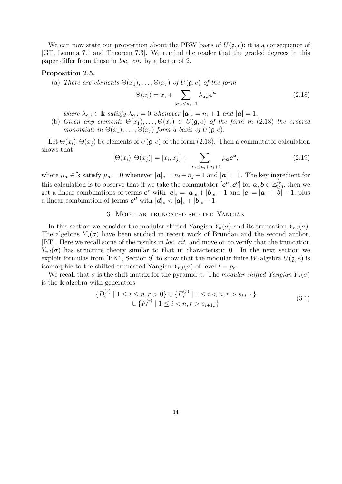We can now state our proposition about the PBW basis of  $U(\mathfrak{g},e)$ ; it is a consequence of [GT, Lemma 7.1 and Theorem 7.3]. We remind the reader that the graded degrees in this paper differ from those in loc. cit. by a factor of 2.

#### Proposition 2.5.

(a) There are elements  $\Theta(x_1), \ldots, \Theta(x_r)$  of  $U(\mathfrak{g}, e)$  of the form

$$
\Theta(x_i) = x_i + \sum_{|\mathbf{a}|_e \le n_i+1} \lambda_{\mathbf{a},i} e^{\mathbf{a}} \tag{2.18}
$$

- where  $\lambda_{a,i} \in \mathbb{k}$  satisfy  $\lambda_{a,i} = 0$  whenever  $|\boldsymbol{a}| = n_i + 1$  and  $|\boldsymbol{a}| = 1$ .
- (b) Given any elements  $\Theta(x_1), \ldots, \Theta(x_r) \in U(\mathfrak{g}, e)$  of the form in (2.18) the ordered monomials in  $\Theta(x_1), \ldots, \Theta(x_r)$  form a basis of  $U(\mathfrak{g}, e)$ .

Let  $\Theta(x_i), \Theta(x_j)$  be elements of  $U(\mathfrak{g}, e)$  of the form (2.18). Then a commutator calculation shows that

$$
[\Theta(x_i), \Theta(x_j)] = [x_i, x_j] + \sum_{|\mathbf{a}|_e \le n_i + n_j + 1} \mu_{\mathbf{a}} \mathbf{e}^{\mathbf{a}},
$$
\n(2.19)

where  $\mu_a \in \mathbb{k}$  satisfy  $\mu_a = 0$  whenever  $|\mathbf{a}|_e = n_i + n_j + 1$  and  $|\mathbf{a}| = 1$ . The key ingredient for this calculation is to observe that if we take the commutator  $[e^a, e^b]$  for  $a, b \in \mathbb{Z}_>^{\{I_p\}}$  $\sum_{i=0}^{I_{\mathfrak{p}}}$ , then we get a linear combinations of terms  $e^c$  with  $|c|_e = |a|_e + |b|_e - 1$  and  $|c| = |a| + |\overline{b}| - 1$ , plus a linear combination of terms  $e^d$  with  $|d|_e < |a|_e + |b|_e - 1$ .

#### 3. Modular truncated shifted Yangian

In this section we consider the modular shifted Yangian  $Y_n(\sigma)$  and its truncation  $Y_{n,l}(\sigma)$ . The algebras  $Y_n(\sigma)$  have been studied in recent work of Brundan and the second author, [BT]. Here we recall some of the results in loc. cit. and move on to verify that the truncation  $Y_{n,l}(\sigma)$  has structure theory similar to that in characteristic 0. In the next section we exploit formulas from [BK1, Section 9] to show that the modular finite W-algebra  $U(\mathfrak{g},e)$  is isomorphic to the shifted truncated Yangian  $Y_{n,l}(\sigma)$  of level  $l = p_n$ .

We recall that  $\sigma$  is the shift matrix for the pyramid  $\pi$ . The modular shifted Yangian  $Y_n(\sigma)$ is the k-algebra with generators

$$
\{D_i^{(r)} \mid 1 \le i \le n, r > 0\} \cup \{E_i^{(r)} \mid 1 \le i < n, r > s_{i,i+1}\}\
$$
  

$$
\cup \{F_i^{(r)} \mid 1 \le i < n, r > s_{i+1,i}\}\
$$
(3.1)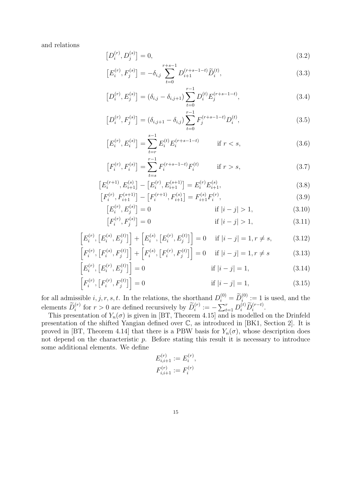and relations

$$
[D_i^{(r)}, D_j^{(s)}] = 0,\t\t(3.2)
$$

$$
\left[E_i^{(r)}, F_j^{(s)}\right] = -\delta_{i,j} \sum_{t=0}^{r+s-1} D_{i+1}^{(r+s-1-t)} \widetilde{D}_i^{(t)},\tag{3.3}
$$

$$
[D_i^{(r)}, E_j^{(s)}] = (\delta_{i,j} - \delta_{i,j+1}) \sum_{t=0}^{r-1} D_i^{(t)} E_j^{(r+s-1-t)}, \qquad (3.4)
$$

$$
[D_i^{(r)}, F_j^{(s)}] = (\delta_{i,j+1} - \delta_{i,j}) \sum_{t=0}^{r-1} F_j^{(r+s-1-t)} D_i^{(t)},
$$
\n(3.5)

$$
\left[E_i^{(r)}, E_i^{(s)}\right] = \sum_{t=r}^{s-1} E_i^{(t)} E_i^{(r+s-1-t)} \qquad \text{if } r < s,\tag{3.6}
$$

$$
\left[F_i^{(r)}, F_i^{(s)}\right] = \sum_{t=s}^{r-1} F_i^{(r+s-1-t)} F_i^{(t)} \qquad \text{if } r > s,\tag{3.7}
$$

$$
\left[E_i^{(r+1)}, E_{i+1}^{(s)}\right] - \left[E_i^{(r)}, E_{i+1}^{(s+1)}\right] = E_i^{(r)} E_{i+1}^{(s)},\tag{3.8}
$$

$$
\left[F_i^{(r)}, F_{i+1}^{(s+1)}\right] - \left[F_i^{(r+1)}, F_{i+1}^{(s)}\right] = F_{i+1}^{(s)} F_i^{(r)},\tag{3.9}
$$

$$
[E_i^{(r)}, E_j^{(s)}] = 0 \qquad \text{if } |i - j| > 1,
$$
\n(3.10)

$$
[F_i^{(r)}, F_j^{(s)}] = 0 \qquad \text{if } |i - j| > 1,
$$
\n(3.11)

$$
\[E_i^{(r)}, [E_i^{(s)}, E_j^{(t)}]\] + [E_i^{(s)}, [E_i^{(r)}, E_j^{(t)}]\] = 0 \quad \text{if } |i - j| = 1, r \neq s,
$$
\n(3.12)

$$
\[F_i^{(r)}, [F_i^{(s)}, F_j^{(t)}]\] + \[F_i^{(s)}, [F_i^{(r)}, F_j^{(t)}]\] = 0 \quad \text{if } |i - j| = 1, r \neq s \tag{3.13}
$$

$$
\[E_i^{(r)}, [E_i^{(r)}, E_j^{(t)}]\] = 0 \qquad \text{if } |i - j| = 1,\tag{3.14}
$$

$$
\[F_i^{(r)}, [F_i^{(r)}, F_j^{(t)}]\] = 0 \qquad \text{if } |i - j| = 1,\tag{3.15}
$$

for all admissible  $i, j, r, s, t$ . In the relations, the shorthand  $D_i^{(0)} = \widetilde{D}_i^{(0)} := 1$  is used, and the elements  $\widetilde{D}_i^{(r)}$  for  $r > 0$  are defined recursively by  $\widetilde{D}_i^{(r)} := -\sum_{t=1}^r D_i^{(t)} \widetilde{D}_i^{(r-t)}$ .

This presentation of  $Y_n(\sigma)$  is given in [BT, Theorem 4.15] and is modelled on the Drinfeld presentation of the shifted Yangian defined over C, as introduced in [BK1, Section 2]. It is proved in [BT, Theorem 4.14] that there is a PBW basis for  $Y_n(\sigma)$ , whose description does not depend on the characteristic  $p$ . Before stating this result it is necessary to introduce some additional elements. We define

$$
E_{i,i+1}^{(r)} := E_i^{(r)},
$$
  

$$
F_{i,i+1}^{(r)} := F_i^{(r)}
$$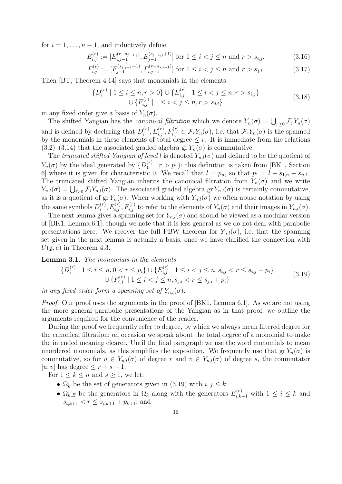for  $i = 1, \ldots, n - 1$ , and inductively define

$$
E_{i,j}^{(r)} := [E_{i,j-1}^{(r-s_{j-1,j})}, E_{j-1}^{(s_{j-1,j}+1)}] \text{ for } 1 \le i < j \le n \text{ and } r > s_{i,j},
$$
\n(3.16)

$$
F_{i,j}^{(r)} := [F_{j-1}^{(s_{j,j-1}+1)}, F_{i,j-1}^{(r-s_{j,j-1})}] \text{ for } 1 \le i < j \le n \text{ and } r > s_{j,i}.
$$
 (3.17)

Then [BT, Theorem 4.14] says that monomials in the elements

$$
\{D_i^{(r)} \mid 1 \le i \le n, r > 0\} \cup \{E_{i,j}^{(r)} \mid 1 \le i < j \le n, r > s_{i,j}\}\
$$
  

$$
\cup \{F_{i,j}^{(r)} \mid 1 \le i < j \le n, r > s_{j,i}\}\
$$
(3.18)

in any fixed order give a basis of  $Y_n(\sigma)$ .

The shifted Yangian has the *canonical filtration* which we denote  $Y_n(\sigma) = \bigcup_{r \geq 0} \mathcal{F}_r Y_n(\sigma)$ and is defined by declaring that  $D_i^{(r)}$  $\mathcal{F}_i^{(r)}, E_{i,j}^{(r)}, F_{i,j}^{(r)} \in \mathcal{F}_r Y_n(\sigma)$ , i.e. that  $\mathcal{F}_r Y_n(\sigma)$  is the spanned by the monomials in these elements of total degree  $\leq r$ . It is immediate from the relations  $(3.2)$ – $(3.14)$  that the associated graded algebra gr  $Y_n(\sigma)$  is commutative.

The truncated shifted Yangian of level l is denoted  $Y_{n,l}(\sigma)$  and defined to be the quotient of  $Y_n(\sigma)$  by the ideal generated by  $\{D_1^{(r)}\}$  $\binom{r}{1}$  |  $r > p_1$ }; this definition is taken from [BK1, Section 6] where it is given for characteristic 0. We recall that  $l = p_n$ , so that  $p_1 = l - s_{1,n} - s_{n,1}$ . The truncated shifted Yangian inherits the canonical filtration from  $Y_n(\sigma)$  and we write  $Y_{n,l}(\sigma) = \bigcup_{i\geq 0} \mathcal{F}_i Y_{n,l}(\sigma)$ . The associated graded algebra gr  $Y_{n,l}(\sigma)$  is certainly commutative, as it is a quotient of gr  $Y_n(\sigma)$ . When working with  $Y_{n,l}(\sigma)$  we often abuse notation by using the same symbols  $D_i^{(r)}$  $i^{(r)}_{i}$ ,  $E_{i,j}^{(r)}$ ,  $F_{i,j}^{(r)}$  to refer to the elements of  $Y_n(\sigma)$  and their images in  $Y_{n,l}(\sigma)$ .

The next lemma gives a spanning set for  $Y_{n,l}(\sigma)$  and should be viewed as a modular version of [BK1, Lemma 6.1]; though we note that it is less general as we do not deal with parabolic presentations here. We recover the full PBW theorem for  $Y_{n,l}(\sigma)$ , i.e. that the spanning set given in the next lemma is actually a basis, once we have clarified the connection with  $U(\mathfrak{g},e)$  in Theorem 4.3.

Lemma 3.1. The monomials in the elements

$$
\{D_i^{(r)} \mid 1 \le i \le n, 0 < r \le p_i\} \cup \{E_{i,j}^{(r)} \mid 1 \le i < j \le n, s_{i,j} < r \le s_{i,j} + p_i\} \qquad \qquad (3.19)
$$
\n
$$
\cup \{F_{i,j}^{(r)} \mid 1 \le i < j \le n, s_{j,i} < r \le s_{j,i} + p_i\}
$$

in any fixed order form a spanning set of  $Y_{n,l}(\sigma)$ .

Proof. Our proof uses the arguments in the proof of [BK1, Lemma 6.1]. As we are not using the more general parabolic presentations of the Yangian as in that proof, we outline the arguments required for the convenience of the reader.

During the proof we frequently refer to degree, by which we always mean filtered degree for the canonical filtration; on occasion we speak about the total degree of a monomial to make the intended meaning clearer. Until the final paragraph we use the word monomials to mean unordered monomials, as this simplifies the exposition. We frequently use that  $gr Y_n(\sigma)$  is commutative, so for  $u \in Y_{n,l}(\sigma)$  of degree r and  $v \in Y_{n,l}(\sigma)$  of degree s, the commutator [u, v] has degree  $\leq r + s - 1$ .

For  $1 \leq k \leq n$  and  $s \geq 1$ , we let:

- $\Omega_k$  be the set of generators given in (3.19) with  $i, j \leq k$ ;
- $\Omega_{k,E}$  be the generators in  $\Omega_k$  along with the generators  $E_{i,k+1}^{(r)}$  with  $1 \leq i \leq k$  and  $s_{i,k+1} < r \leq s_{i,k+1} + p_{k+1}$ ; and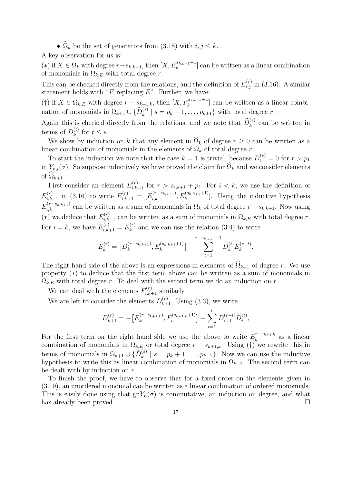•  $\widehat{\Omega}_k$  be the set of generators from (3.18) with  $i, j \leq k$ .

A key observation for us is:

(\*) if  $X \in \Omega_k$  with degree  $r - s_{k,k+1}$ , then  $[X, E_k^{s_{k,k+1}+1}]$  can be written as a linear combination of monomials in  $\Omega_{k,E}$  with total degree r.

This can be checked directly from the relations, and the definition of  $E_{i,j}^{(r)}$  in (3.16). A similar statement holds with " $F$  replacing  $E$ ". Further, we have:

(†) if  $X \in \Omega_{k,E}$  with degree  $r - s_{k+1,k}$ , then  $[X, F_k^{s_{k+1,k}+1}]$  can be written as a linear combination of monomials in  $\Omega_{k+1} \cup \{ \widetilde{D}_k^{(s)} \mid s = p_k + 1, \ldots, p_{k+1} \}$  with total degree r.

Again this is checked directly from the relations, and we note that  $\widetilde{D}_{k}^{(s)}$  can be written in terms of  $D_k^{(t)}$  $\int_{k}^{(t)}$  for  $t \leq s$ .

We show by induction on k that any element in  $\hat{\Omega}_k$  of degree  $r \geq 0$  can be written as a linear combination of monomials in the elements of  $\Omega_k$  of total degree r.

To start the induction we note that the case  $k = 1$  is trivial, because  $D_1^{(r)} = 0$  for  $r > p_1$ in  $Y_{n,l}(\sigma)$ . So suppose inductively we have proved the claim for  $\widehat{\Omega}_k$  and we consider elements of  $\Omega_{k+1}$ .

First consider an element  $E_{i,k+1}^{(r)}$  for  $r > s_{i,k+1} + p_i$ . For  $i < k$ , we use the definition of  $E_{i,k+1}^{(r)}$  in (3.16) to write  $E_{i,k+1}^{(r)} = [E_{i,k}^{(r-s_{k,k+1})}, E_k^{(s_{k,k+1}+1)}]$ . Using the inductive hypothesis  $E_{i,k}^{(r-s_{k,k+1})}$  can be written as a sum of monomials in  $\Omega_k$  of total degree  $r-s_{k,k+1}$ . Now using (\*) we deduce that  $E_{i,k+1}^{(r)}$  can be written as a sum of monomials in  $\Omega_{k,E}$  with total degree r. For  $i = k$ , we have  $E_{i,k+1}^{(r)} = E_k^{(r)}$  $\binom{n(r)}{k}$  and we can use the relation (3.4) to write

$$
E_k^{(r)} = \left[ D_k^{(r-s_{k,k+1})}, E_k^{(s_{k,k+1}+1)} \right] - \sum_{t=1}^{r-s_{k,k+1}-1} D_k^{(t)} E_k^{(r-t)}.
$$

The right hand side of the above is an expressions in elements of  $\widehat{\Omega}_{k+1}$  of degree r. We use property (\*) to deduce that the first term above can be written as a sum of monomials in  $\Omega_{k,E}$  with total degree r. To deal with the second term we do an induction on r.

We can deal with the elements  $F_{i,k+1}^{(r)}$  similarly.

We are left to consider the elements  $D_{k+1}^{(r)}$ . Using (3.3), we write

$$
D_{k+1}^{(r)} = -\left[E_k^{(r-s_{k+1,k})}, F_i^{(s_{k+1,k}+1)}\right] + \sum_{t=1}^r D_{i+1}^{(r-t)} \widetilde{D}_i^{(t)},
$$

For the first term on the right hand side we use the above to write  $E_k^{r-s_{k+1,k}}$  $a_k^{r-s_{k+1,k}}$  as a linear combination of monomials in  $\Omega_{k,E}$  or total degree  $r - s_{k+1,k}$ . Using (†) we rewrite this in terms of monomials in  $\Omega_{k+1} \cup {\{\tilde{D}_k^{(s)}\}}$  $\binom{s}{k}$  |  $s = p_k + 1, \ldots, p_{k+1}$ . Now we can use the inductive hypothesis to write this as linear combination of monomials in  $\Omega_{k+1}$ . The second term can be dealt with by induction on r.

To finish the proof, we have to observe that for a fixed order on the elements given in (3.19), an unordered monomial can be written as a linear combination of ordered monomials. This is easily done using that  $gr Y_n(\sigma)$  is commutative, an induction on degree, and what has already been proved.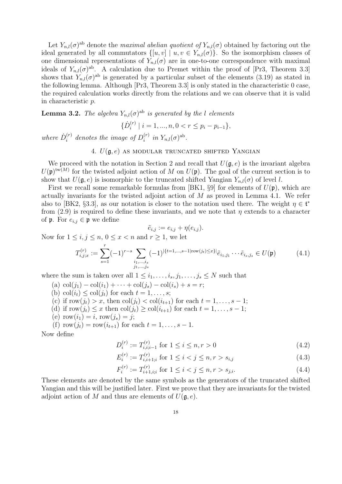Let  $Y_{n,l}(\sigma)^{ab}$  denote the maximal abelian quotient of  $Y_{n,l}(\sigma)$  obtained by factoring out the ideal generated by all commutators  $\{[u, v] | u, v \in Y_{n,l}(\sigma)\}\$ . So the isomorphism classes of one dimensional representations of  $Y_{n,l}(\sigma)$  are in one-to-one correspondence with maximal ideals of  $Y_{n,l}(\sigma)^{ab}$ . A calculation due to Premet within the proof of [Pr3, Theorem 3.3] shows that  $Y_{n,l}(\sigma)$ <sup>ab</sup> is generated by a particular subset of the elements (3.19) as stated in the following lemma. Although [Pr3, Theorem 3.3] is only stated in the characteristic 0 case, the required calculation works directly from the relations and we can observe that it is valid in characteristic p.

**Lemma 3.2.** The algebra  $Y_{n,l}(\sigma)^{ab}$  is generated by the l elements

$$
\{\dot{D}_i^{(r)} \mid i = 1, ..., n, 0 < r \le p_i - p_{i-1}\},
$$

where  $\dot{D}_i^{(r)}$  $i^{(r)}$  denotes the image of  $D_i^{(r)}$  $i^{(r)}$  in  $Y_{n,l}(\sigma)^{\text{ab}}$ .

#### 4.  $U(\mathfrak{g},e)$  as modular truncated shifted Yangian

We proceed with the notation in Section 2 and recall that  $U(\mathfrak{g},e)$  is the invariant algebra  $U(\mathfrak{p})^{\text{tw}(M)}$  for the twisted adjoint action of M on  $U(\mathfrak{p})$ . The goal of the current section is to show that  $U(\mathfrak{g},e)$  is isomorphic to the truncated shifted Yangian  $Y_{n,l}(\sigma)$  of level l.

First we recall some remarkable formulas from [BK1, §9] for elements of  $U(\mathfrak{p})$ , which are actually invariants for the twisted adjoint action of M as proved in Lemma 4.1. We refer also to [BK2, §3.3], as our notation is closer to the notation used there. The weight  $\eta \in \mathfrak{t}^*$ from (2.9) is required to define these invariants, and we note that  $\eta$  extends to a character of **p**. For  $e_{i,j} \in \mathfrak{p}$  we define

$$
\tilde{e}_{i,j} := e_{i,j} + \eta(e_{i,j}).
$$

Now for  $1 \leq i, j \leq n, 0 \leq x < n$  and  $r \geq 1$ , we let

$$
T_{i,j;x}^{(r)} := \sum_{s=1}^{r} (-1)^{r-s} \sum_{\substack{i_1,\dots,i_s\\j_1,\dots,j_s}} (-1)^{|\{t=1,\dots,s-1\}| \text{row}(j_t) \le x\}|_{\tilde{e}_{i_1,j_1}} \dots \tilde{e}_{i_s,j_s} \in U(\mathfrak{p}) \tag{4.1}
$$

where the sum is taken over all  $1 \leq i_1, \ldots, i_s, j_1, \ldots, j_s \leq N$  such that

- (a)  $col(j_1) col(i_1) + \cdots + col(j_s) col(i_s) + s = r;$
- (b) col $(i_t) \leq \text{col}(j_t)$  for each  $t = 1, \ldots, s;$
- (c) if row $(j_t) > x$ , then  $col(j_t) < col(i_{t+1})$  for each  $t = 1, \ldots, s-1$ ;
- (d) if row $(j_t) \leq x$  then  $col(j_t) \geq col(i_{t+1})$  for each  $t = 1, \ldots, s-1;$
- (e) row $(i_1) = i$ , row $(j_s) = j$ ;
- (f) row $(j_t) = \text{row}(i_{t+1})$  for each  $t = 1, ..., s 1$ .

Now define

$$
D_i^{(r)} := T_{i,i;i-1}^{(r)} \text{ for } 1 \le i \le n, r > 0
$$
\n(4.2)

$$
E_i^{(r)} := T_{i,i+1;i}^{(r)} \text{ for } 1 \le i < j \le n, r > s_{i,j} \tag{4.3}
$$

$$
F_i^{(r)} := T_{i+1,i;i}^{(r)} \text{ for } 1 \le i < j \le n, r > s_{j,i}. \tag{4.4}
$$

These elements are denoted by the same symbols as the generators of the truncated shifted Yangian and this will be justified later. First we prove that they are invariants for the twisted adjoint action of M and thus are elements of  $U(\mathfrak{g},e)$ .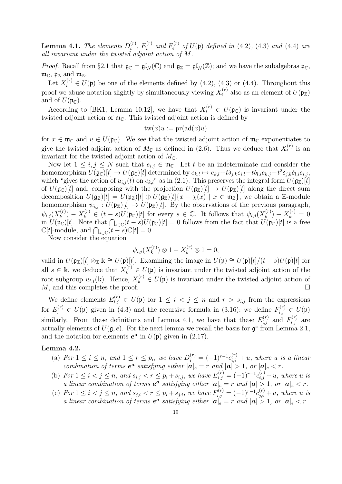**Lemma 4.1.** The elements  $D_i^{(r)}$  $_{i}^{\left( r\right) },\,E_{i}^{\left( r\right) }$  $\int_i^{(r)}$  and  $F_i^{(r)}$  $i^{(r)}$  of  $U(\mathfrak{p})$  defined in  $(4.2)$ ,  $(4.3)$  and  $(4.4)$  are all invariant under the twisted adjoint action of M.

*Proof.* Recall from §2.1 that  $\mathfrak{g}_{\mathbb{C}} = \mathfrak{gl}_N(\mathbb{C})$  and  $\mathfrak{g}_{\mathbb{Z}} = \mathfrak{gl}_N(\mathbb{Z})$ ; and we have the subalgebras  $\mathfrak{p}_{\mathbb{C}}$ ,  $m_{\mathbb{C}}$ ,  $\mathfrak{p}_{\mathbb{Z}}$  and  $m_{\mathbb{Z}}$ .

Let  $X_i^{(r)} \in U(\mathfrak{p})$  be one of the elements defined by (4.2), (4.3) or (4.4). Throughout this proof we abuse notation slightly by simultaneously viewing  $X_i^{(r)}$  $i^{(r)}$  also as an element of  $U(\mathfrak{p}_{\mathbb{Z}})$ and of  $U(\mathfrak{p}_{\mathbb{C}})$ .

According to [BK1, Lemma 10.12], we have that  $X_i^{(r)} \in U(\mathfrak{p}_{\mathbb{C}})$  is invariant under the twisted adjoint action of  $\mathfrak{m}_{\mathbb{C}}$ . This twisted adjoint action is defined by

$$
tw(x)u := pr(ad(x)u)
$$

for  $x \in \mathfrak{m}_{\mathbb{C}}$  and  $u \in U(\mathfrak{p}_{\mathbb{C}})$ . We see that the twisted adjoint action of  $\mathfrak{m}_{\mathbb{C}}$  exponentiates to give the twisted adjoint action of  $M_{\mathbb{C}}$  as defined in (2.6). Thus we deduce that  $X_i^{(r)}$  $i^{(r)}$  is an invariant for the twisted adjoint action of  $M_{\mathbb{C}}$ .

Now let  $1 \leq i, j \leq N$  such that  $e_{i,j} \in \mathfrak{m}_{\mathbb{C}}$ . Let t be an indeterminate and consider the homomorphism  $U(\mathfrak{g}_{\mathbb{C}})[t] \to U(\mathfrak{g}_{\mathbb{C}})[t]$  determined by  $e_{k,l} \mapsto e_{k,l}+t\delta_{j,k}e_{i,l}-t\delta_{l,i}e_{k,j}-t^2\delta_{j,k}\delta_{l,i}e_{i,j}$ which "gives the action of  $u_{i,j}(t)$  on  $e_{k,l}$ " as in (2.1). This preserves the integral form  $U(\mathfrak{g}_\mathbb{Z})[t]$ of  $U(\mathfrak{g}_{\mathbb{C}})[t]$  and, composing with the projection  $U(\mathfrak{g}_{\mathbb{Z}})[t] \to U(\mathfrak{p}_{\mathbb{Z}})[t]$  along the direct sum decomposition  $U(\mathfrak{g}_{\mathbb{Z}})[t] = U(\mathfrak{p}_{\mathbb{Z}})[t] \oplus U(\mathfrak{g}_{\mathbb{Z}})[t] \{x - \chi(x) \mid x \in \mathfrak{m}_{\mathbb{Z}}\},\$ we obtain a Z-module homomorphism  $\psi_{i,j}: U(\mathfrak{p}_{\mathbb{Z}})[t] \to U(\mathfrak{p}_{\mathbb{Z}})[t]$ . By the observations of the previous paragraph,  $\psi_{i,j}(X_k^{(r)}$  $k_k^{(r)}$ ) –  $X_k^{(r)} \in (t-s)U(\mathfrak{p}_{\mathbb{C}})[t]$  for every  $s \in \mathbb{C}$ . It follows that  $\psi_{i,j}(X_k^{(r)})$  $X_k^{(r)}$ ) –  $X_k^{(r)} = 0$ in  $U(\mathfrak{p}_{\mathbb{C}})[t]$ . Note that  $\bigcap_{s\in\mathbb{C}}(t-s)U(\mathfrak{p}_{\mathbb{C}})[t] = 0$  follows from the fact that  $U(\mathfrak{p}_{\mathbb{C}})[t]$  is a free  $\mathbb{C}[t]$ -module, and  $\bigcap_{s\in\mathbb{C}}(t-s)\mathbb{C}[t]=0$ .

Now consider the equation

$$
\psi_{i,j}(X_k^{(r)}) \otimes 1 - X_k^{(r)} \otimes 1 = 0,
$$

valid in  $U(\mathfrak{p}_\mathbb{Z})[t] \otimes_\mathbb{Z} \mathbb{k} \cong U(\mathfrak{p})[t]$ . Examining the image in  $U(\mathfrak{p}) \cong U(\mathfrak{p})[t]/(t-s)U(\mathfrak{p})[t]$  for all  $s \in \mathbb{k}$ , we deduce that  $X_k^{(r)} \in U(\mathfrak{p})$  is invariant under the twisted adjoint action of the root subgroup  $u_{i,j}(\mathbf{k})$ . Hence,  $X_k^{(r)} \in U(\mathfrak{p})$  is invariant under the twisted adjoint action of  $M$ , and this completes the proof.

We define elements  $E_{i,j}^{(r)} \in U(\mathfrak{p})$  for  $1 \leq i < j \leq n$  and  $r > s_{i,j}$  from the expressions for  $E_i^{(r)} \in U(\mathfrak{p})$  given in (4.3) and the recursive formula in (3.16); we define  $F_{i,j}^{(r)} \in U(\mathfrak{p})$ similarly. From these definitions and Lemma 4.1, we have that these  $E_{i,j}^{(r)}$  and  $F_{i,j}^{(r)}$  are actually elements of  $U(\mathfrak{g},e)$ . For the next lemma we recall the basis for  $\mathfrak{g}^e$  from Lemma 2.1, and the notation for elements  $e^a$  in  $U(\mathfrak{p})$  given in (2.17).

#### Lemma 4.2.

- (a) For  $1 \leq i \leq n$ , and  $1 \leq r \leq p_i$ , we have  $D_i^{(r)} = (-1)^{r-1} c_{i,i}^{(r)} + u$ , where u is a linear combination of terms  $e^a$  satisfying either  $|a|_e = r$  and  $|a| > 1$ , or  $|a|_e < r$ .
- (b) For  $1 \le i < j \le n$ , and  $s_{i,j} < r \le p_i + s_{i,j}$ , we have  $E_{i,j}^{(r)} = (-1)^{r-1} c_{i,j}^{(r)} + u$ , where u is a linear combination of terms  $e^a$  satisfying either  $|a|_e = r$  and  $|a| > 1$ , or  $|a|_e < r$ .
- (c) For  $1 \le i < j \le n$ , and  $s_{j,i} < r \le p_i + s_{j,i}$ , we have  $F_{i,j}^{(r)} = (-1)^{r-1} c_{j,i}^{(r)} + u$ , where u is a linear combination of terms  $e^a$  satisfying either  $|a|_e = r$  and  $|a| > 1$ , or  $|a|_e < r$ .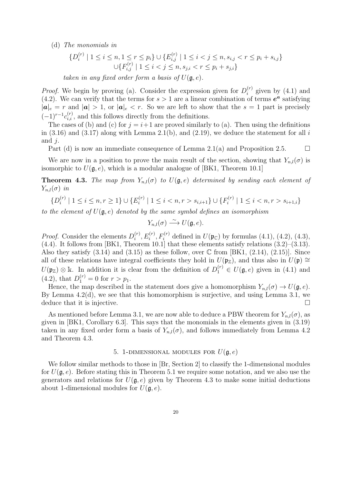(d) The monomials in

$$
\{D_i^{(r)} \mid 1 \le i \le n, 1 \le r \le p_i\} \cup \{E_{i,j}^{(r)} \mid 1 \le i < j \le n, s_{i,j} < r \le p_i + s_{i,j}\}
$$
  

$$
\cup \{F_{i,j}^{(r)} \mid 1 \le i < j \le n, s_{j,i} < r \le p_i + s_{j,i}\}
$$

taken in any fixed order form a basis of  $U(\mathfrak{g},e)$ .

*Proof.* We begin by proving (a). Consider the expression given for  $D_i^{(r)}$  $i^{(r)}$  given by (4.1) and (4.2). We can verify that the terms for  $s > 1$  are a linear combination of terms  $e^a$  satisfying  $|a|_e = r$  and  $|a| > 1$ , or  $|a|_e < r$ . So we are left to show that the  $s = 1$  part is precisely  $(-1)^{r-1}c_{i,i}^{(r)}$ , and this follows directly from the definitions.

The cases of (b) and (c) for  $j = i+1$  are proved similarly to (a). Then using the definitions in  $(3.16)$  and  $(3.17)$  along with Lemma 2.1(b), and  $(2.19)$ , we deduce the statement for all i and  $j$ .

Part (d) is now an immediate consequence of Lemma 2.1(a) and Proposition 2.5.  $\Box$ 

We are now in a position to prove the main result of the section, showing that  $Y_{n,l}(\sigma)$  is isomorphic to  $U(\mathfrak{g},e)$ , which is a modular analogue of [BK1, Theorem 10.1]

**Theorem 4.3.** The map from  $Y_{n,l}(\sigma)$  to  $U(\mathfrak{g},e)$  determined by sending each element of  $Y_{n,l}(\sigma)$  in

$$
\{D_i^{(r)} \mid 1 \le i \le n, r \ge 1\} \cup \{E_i^{(r)} \mid 1 \le i < n, r > s_{i,i+1}\} \cup \{F_i^{(r)} \mid 1 \le i < n, r > s_{i+1,i}\}
$$

to the element of  $U(\mathfrak{g},e)$  denoted by the same symbol defines an isomorphism

$$
Y_{n,l}(\sigma) \stackrel{\sim}{\longrightarrow} U(\mathfrak{g},e).
$$

*Proof.* Consider the elements  $D_i^{(r)}$  $i_i^{(r)}, E_i^{(r)}, F_i^{(r)}$  defined in  $U(\mathfrak{p}_{\mathbb{C}})$  by formulas (4.1), (4.2), (4.3),  $(4.4)$ . It follows from [BK1, Theorem 10.1] that these elements satisfy relations  $(3.2)$ – $(3.13)$ . Also they satisfy  $(3.14)$  and  $(3.15)$  as these follow, over  $\mathbb C$  from [BK1,  $(2.14)$ ,  $(2.15)$ ]. Since all of these relations have integral coefficients they hold in  $U(\mathfrak{p}_\mathbb{Z})$ , and thus also in  $U(\mathfrak{p}) \cong$  $U(\mathfrak{p}_{\mathbb{Z}}) \otimes \mathbb{k}$ . In addition it is clear from the definition of  $D_1^{(r)} \in U(\mathfrak{g},e)$  given in (4.1) and  $(4.2)$ , that  $D_1^{(r)} = 0$  for  $r > p_1$ .

Hence, the map described in the statement does give a homomorphism  $Y_{n,l}(\sigma) \to U(\mathfrak{g}, e)$ . By Lemma 4.2(d), we see that this homomorphism is surjective, and using Lemma 3.1, we deduce that it is injective.

As mentioned before Lemma 3.1, we are now able to deduce a PBW theorem for  $Y_{n,l}(\sigma)$ , as given in [BK1, Corollary 6.3]. This says that the monomials in the elements given in (3.19) taken in any fixed order form a basis of  $Y_{n,l}(\sigma)$ , and follows immediately from Lemma 4.2 and Theorem 4.3.

#### 5. 1-DIMENSIONAL MODULES FOR  $U(\mathfrak{g},e)$

We follow similar methods to those in [Br, Section 2] to classify the 1-dimensional modules for  $U(\mathfrak{g},e)$ . Before stating this in Theorem 5.1 we require some notation, and we also use the generators and relations for  $U(\mathfrak{g},e)$  given by Theorem 4.3 to make some initial deductions about 1-dimensional modules for  $U(\mathfrak{g},e)$ .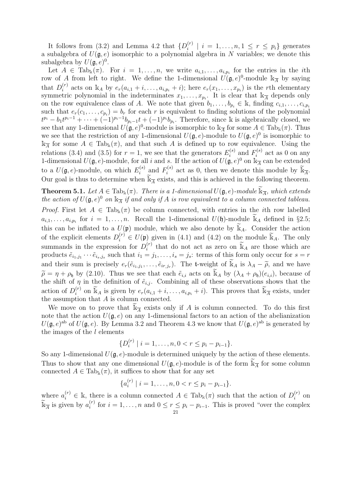It follows from (3.2) and Lemma 4.2 that  $\{D_i^{(r)}\}$  $\{e_i^{(r)} \mid i = 1, \ldots, n, 1 \leq r \leq p_i\}$  generates a subalgebra of  $U(\mathfrak{g},e)$  isomorphic to a polynomial algebra in N variables; we denote this subalgebra by  $U(\mathfrak{g},e)^0$ .

Let  $A \in \text{Tab}_k(\pi)$ . For  $i = 1, \ldots, n$ , we write  $a_{i,1}, \ldots, a_{i,p_i}$  for the entries in the *i*th row of A from left to right. We define the 1-dimensional  $\hat{U}(\mathfrak{g},e)^0$ -module  $\Bbbk_{\overline{A}}$  by saying that  $D_i^{(r)}$  $i_i^{(r)}$  acts on  $\mathbb{k}_A$  by  $e_r(a_{i,1}+i,\ldots,a_{i,p_i}+i)$ ; here  $e_r(x_1,\ldots,x_{p_i})$  is the rth elementary symmetric polynomial in the indeterminates  $x_1, \ldots, x_{p_i}$ . It is clear that  $\mathbb{k}_{\overline{A}}$  depends only on the row equivalence class of A. We note that given  $b_1, \ldots, b_{p_i} \in \mathbb{k}$ , finding  $c_{i,1}, \ldots, c_{i,p_i}$ such that  $e_r(c_1,\ldots,c_{p_i})=b_r$  for each r is equivalent to finding solutions of the polynomial  $t^{p_i} - b_1 t^{p_i-1} + \cdots + (-1)^{p_i-1} b_{p_i-1} t + (-1)^{p_i} b_{p_i}$ . Therefore, since k is algebraically closed, we see that any 1-dimensional  $U(\mathfrak{g},e)^0$ -module is isomorphic to  $\mathbb{k}_{\overline{A}}$  for some  $A \in \text{Tab}_k(\pi)$ . Thus we see that the restriction of any 1-dimensional  $U(\mathfrak{g},e)$ -module to  $U(\mathfrak{g},e)^0$  is isomorphic to  $\mathbb{k}_{\overline{A}}$  for some  $A \in \text{Tab}_\mathbb{k}(\pi)$ , and that such A is defined up to row equivalence. Using the relations (3.4) and (3.5) for  $r=1$ , we see that the generators  $E_i^{(s)}$  $F_i^{(s)}$  and  $F_i^{(s)}$  $i^{(s)}$  act as 0 on any 1-dimensional  $U(\mathfrak{g}, e)$ -module, for all i and s. If the action of  $U(\mathfrak{g}, e)^0$  on  $\mathbb{k}_{\overline{A}}$  can be extended to a  $U(\mathfrak{g},e)$ -module, on which  $E_i^{(s)}$  $F_i^{(s)}$  and  $F_i^{(s)}$  $\widetilde{\mathbb{R}}_{i}^{(s)}$  act as 0, then we denote this module by  $\widetilde{\mathbb{R}}_{\overline{A}}$ . Our goal is thus to determine when  $\widetilde{\mathbb{K}}_{\overline{A}}$  exists, and this is achieved in the following theorem.

**Theorem 5.1.** Let  $A \in \text{Tab}_\mathbb{k}(\pi)$ . There is a 1-dimensional  $U(\mathfrak{g}, e)$ -module  $\widetilde{\mathbb{k}}_{\overline{A}}$ , which extends the action of  $U(\mathfrak{g},e)^0$  on  $\Bbbk_{\overline{A}}$  if and only if A is row equivalent to a column connected tableau. Proof. First let  $A \in \text{Tab}_k(\pi)$  be column connected, with entries in the *i*th row labelled  $a_{i,1}, \ldots, a_{i,p_i}$  for  $i = 1, \ldots, n$ . Recall the 1-dimensional  $U(\mathfrak{h})$ -module  $\widetilde{\mathbb{K}}_A$  defined in §2.5; this can be inflated to a  $U(\mathfrak{p})$  module, which we also denote by  $\mathbb{K}_A$ . Consider the action of the explicit elements  $D_i^{(r)} \in U(\mathfrak{p})$  given in (4.1) and (4.2) on the module  $\widetilde{\mathbb{K}}_A$ . The only summands in the expression for  $D_i^{(r)}$  $\tilde{\mathbf{F}}_i^{(r)}$  that do not act as zero on  $\tilde{\mathbb{K}}_A$  are those which are products  $\tilde{e}_{i_1,j_1}\cdots\tilde{e}_{i_s,j_s}$  such that  $i_1=j_1,\ldots,i_s=j_s$ : terms of this form only occur for  $s=r$ and their sum is precisely  $e_r(\tilde{e}_{i_1,j_1},\ldots,\tilde{e}_{ir,j_r})$ . The t-weight of  $\tilde{k}_A$  is  $\lambda_A - \tilde{\rho}$ , and we have  $\tilde{\rho} = \eta + \rho_{\mathfrak{h}}$  by (2.10). Thus we see that each  $\tilde{e}_{i,i}$  acts on  $\tilde{k}_A$  by  $(\lambda_A + \rho_{\mathfrak{h}})(e_{i,i})$ , because of the shift of  $\eta$  in the definition of  $\tilde{e}_{i,j}$ . Combining all of these observations shows that the action of  $D_i^{(r)}$  $i_i^{(r)}$  on  $\widetilde{\mathbb{K}}_A$  is given by  $e_r(a_{i,1}+i,\ldots,a_{i,p_i}+i)$ . This proves that  $\widetilde{\mathbb{K}}_{\overline{A}}$  exists, under the assumption that  $A$  is column connected.

We move on to prove that  $\widetilde{\mathbb{K}}_{\overline{A}}$  exists only if A is column connected. To do this first note that the action  $U(\mathfrak{g},e)$  on any 1-dimensional factors to an action of the abelianization  $U(\mathfrak{g},e)^{ab}$  of  $U(\mathfrak{g},e)$ . By Lemma 3.2 and Theorem 4.3 we know that  $U(\mathfrak{g},e)^{ab}$  is generated by the images of the  $l$  elements

$$
\{D_i^{(r)} \mid i = 1, \ldots, n, 0 < r \leq p_i - p_{i-1}\}.
$$

So any 1-dimensional  $U(\mathfrak{g}, e)$ -module is determined uniquely by the action of these elements. Thus to show that any one dimensional  $U(\mathfrak{g}, e)$ -module is of the form  $\widetilde{\mathbb{K}}_{\overline{A}}$  for some column connected  $A \in \text{Tab}_k(\pi)$ , it suffices to show that for any set

$$
\{a_i^{(r)} \mid i = 1, \ldots, n, 0 < r \leq p_i - p_{i-1}\}.
$$

where  $a_i^{(r)} \in \mathbb{k}$ , there is a column connected  $A \in \text{Tab}_k(\pi)$  such that the action of  $D_i^{(r)}$  $i^{(r)}$  on  $\widetilde{\mathbb{K}}_{\overline{A}}$  is given by  $a_i^{(r)}$  $i_i^{(r)}$  for  $i = 1, \ldots, n$  and  $0 \le r \le p_i - p_{i-1}$ . This is proved "over the complex" 21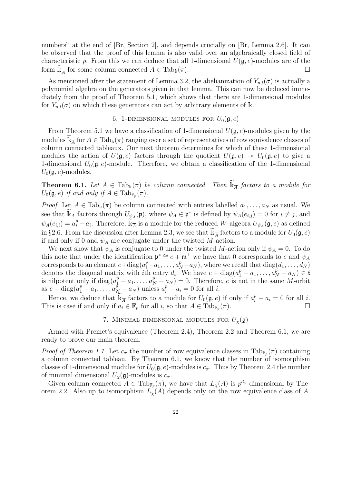numbers" at the end of [Br, Section 2], and depends crucially on [Br, Lemma 2.6]. It can be observed that the proof of this lemma is also valid over an algebraically closed field of characteristic p. From this we can deduce that all 1-dimensional  $U(\mathfrak{g},e)$ -modules are of the form  $\tilde{\mathbb{K}}_{\overline{A}}$  for some column connected  $A \in \text{Tab}_{\mathbb{k}}(\pi)$ .

As mentioned after the statement of Lemma 3.2, the abelianization of  $Y_{n,l}(\sigma)$  is actually a polynomial algebra on the generators given in that lemma. This can now be deduced immediately from the proof of Theorem 5.1, which shows that there are 1-dimensional modules for  $Y_{n,l}(\sigma)$  on which these generators can act by arbitrary elements of k.

#### 6. 1-DIMENSIONAL MODULES FOR  $U_0(\mathfrak{g}, e)$

From Theorem 5.1 we have a classification of 1-dimensional  $U(\mathfrak{g},e)$ -modules given by the modules  $\widetilde{\mathbb{K}}_{\overline{A}}$  for  $A \in \text{Tab}_{\mathbb{K}}(\pi)$  ranging over a set of representatives of row equivalence classes of column connected tableaux. Our next theorem determines for which of these 1-dimensional modules the action of  $U(\mathfrak{g},e)$  factors through the quotient  $U(\mathfrak{g},e) \rightarrow U_0(\mathfrak{g},e)$  to give a 1-dimensional  $U_0(\mathfrak{g}, e)$ -module. Therefore, we obtain a classification of the 1-dimensional  $U_0(\mathfrak{g},e)$ -modules.

**Theorem 6.1.** Let  $A \in \text{Tab}_k(\pi)$  be column connected. Then  $\widetilde{\mathbb{K}}_{\overline{A}}$  factors to a module for  $U_0(\mathfrak{g},e)$  if and only if  $A \in \text{Tab}_{\mathbb{F}_p}(\pi)$ .

*Proof.* Let  $A \in \text{Tab}_k(\pi)$  be column connected with entries labelled  $a_1, \ldots, a_N$  as usual. We see that  $\widetilde{\mathbb{K}}_A$  factors through  $U_{\psi_A}(\mathfrak{p})$ , where  $\psi_A \in \mathfrak{p}^*$  is defined by  $\psi_A(e_{i,j}) = 0$  for  $i \neq j$ , and  $\psi_A(e_{i,i}) = a_i^p - a_i$ . Therefore,  $\widetilde{\Bbbk}_A$  is a module for the reduced W-algebra  $U_{\psi_A}(\mathfrak{g},e)$  as defined in §2.6. From the discussion after Lemma 2.3, we see that  $\widetilde{\mathbb{K}}_{\overline{A}}$  factors to a module for  $U_0(\mathfrak{g}, e)$ if and only if 0 and  $\psi_A$  are conjugate under the twisted M-action.

We next show that  $\psi_A$  is conjugate to 0 under the twisted M-action only if  $\psi_A = 0$ . To do this note that under the identification  $\mathfrak{p}^* \cong e + \mathfrak{m}^{\perp}$  we have that 0 corresponds to e and  $\psi_A$ corresponds to an element  $e + diag(a_1^p - a_1, \ldots, a_N^p - a_N)$ , where we recall that  $diag(d_1, \ldots, d_N)$ denotes the diagonal matrix with *i*th entry  $d_i$ . We have  $e + \text{diag}(a_1^p - a_1, \ldots, a_N^p - a_N) \in \mathfrak{t}$ is nilpotent only if  $diag(a_1^p - a_1, \ldots, a_N^p - a_N) = 0$ . Therefore, e is not in the same M-orbit as  $e + diag(a_1^p - a_1, ..., a_N^p - a_N)$  unless  $a_i^p - a_i = 0$  for all *i*.

Hence, we deduce that  $\widetilde{\mathbb{K}}_{\overline{A}}$  factors to a module for  $U_0(\mathfrak{g}, e)$  if only if  $a_i^p - a_i = 0$  for all i. This is case if and only if  $a_i \in \mathbb{F}_p$  for all i, so that  $A \in \text{Tab}_{\mathbb{F}_p}(\pi)$ .

#### 7. MINIMAL DIMENSIONAL MODULES FOR  $U_{\chi}(\mathfrak{g})$

Armed with Premet's equivalence (Theorem 2.4), Theorem 2.2 and Theorem 6.1, we are ready to prove our main theorem.

*Proof of Theorem 1.1.* Let  $c_{\pi}$  the number of row equivalence classes in  $\text{Tab}_{\mathbb{F}_p}(\pi)$  containing a column connected tableau. By Theorem 6.1, we know that the number of isomorphism classes of 1-dimensional modules for  $U_0(\mathfrak{g}, e)$ -modules is  $c_\pi$ . Thus by Theorem 2.4 the number of minimal dimensional  $U_{\chi}(\mathfrak{g})$ -modules is  $c_{\pi}$ .

Given column connected  $A \in \text{Tab}_{\mathbb{F}_p}(\pi)$ , we have that  $L_{\chi}(A)$  is  $p^{d_{\chi}}$ -dimensional by Theorem 2.2. Also up to isomorphism  $L<sub>x</sub>(A)$  depends only on the row equivalence class of A.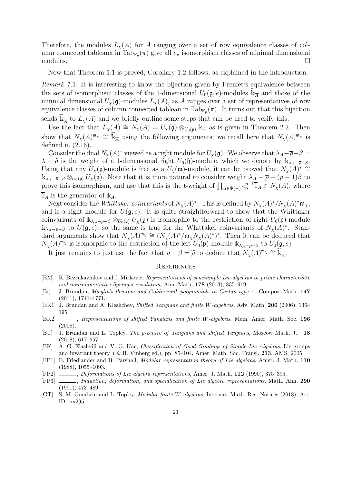Therefore, the modules  $L_{\chi}(A)$  for A ranging over a set of row equivalence classes of column connected tableaux in  $\text{Tab}_{\mathbb{F}_p}(\pi)$  give all  $c_\pi$  isomorphism classes of minimal dimensional modules.  $\square$ 

Now that Theorem 1.1 is proved, Corollary 1.2 follows, as explained in the introduction.

Remark 7.1. It is interesting to know the bijection given by Premet's equivalence between the sets of isomorphism classes of the 1-dimensional  $U_0(\mathfrak{g}, e)$ -modules  $\widetilde{\mathbb{k}}_{\overline{A}}$  and those of the minimal dimensional  $U_{\chi}(\mathfrak{g})$ -modules  $L_{\chi}(A)$ , as A ranges over a set of representatives of row equivalence classes of column connected tableau in  $\text{Tab}_{\mathbb{F}_p}(\pi)$ . It turns out that this bijection sends  $\widetilde{k}_{\overline{A}}$  to  $L_{\chi}(A)$  and we briefly outline some steps that can be used to verify this.

Use the fact that  $L_{\chi}(A) \cong N_{\chi}(A) = U_{\chi}(\mathfrak{g}) \otimes_{U_0(\mathfrak{p})} \overline{\mathbb{k}}_A$  as is given in Theorem 2.2. Then show that  $N_{\chi}(A)^{\mathfrak{m}_{\chi}} \cong \widetilde{\mathbb{K}}_{\overline{A}}$  using the following arguments; we recall here that  $N_{\chi}(A)^{\mathfrak{m}_{\chi}}$  is defined in  $(2.16)$ .

Consider the dual  $N_{\chi}(A)^*$  viewed as a right module for  $U_{\chi}(\mathfrak{g})$ . We observe that  $\lambda_A-\overline{\rho}-\beta=$  $\lambda - \tilde{\rho}$  is the weight of a 1-dimensional right  $U_0(\mathfrak{h})$ -module, which we denote by  $\mathbb{k}_{\lambda_A-\bar{\rho}-\beta}$ . Using that any  $U_\chi(\mathfrak{g})$ -module is free as a  $U_\chi(\mathfrak{m})$ -module, it can be proved that  $N_\chi(A)^* \cong$  $\Bbbk_{\lambda_A-\bar{\rho}-\beta}\otimes_{U_0(\mathfrak{p})}U_\chi(\mathfrak{g})$ . Note that it is more natural to consider weight  $\lambda_A-\bar{\rho}+(p-1)\beta$  to prove this isomorphism, and use that this is the t-weight of  $\prod_{\alpha \in \Phi(-)} e_{\alpha}^{p-1} \bar{1}_A \in N_{\chi}(A)$ , where  $\overline{1}_A$  is the generator of  $\mathbb{k}_A$ .

Next consider the Whittaker coinvariants of  $N_{\chi}(A)^*$ . This is defined by  $N_{\chi}(A)^*/N_{\chi}(A)^*$  $\mathfrak{m}_{\chi}$ , and is a right module for  $U(\mathfrak{g},e)$ . It is quite straightforward to show that the Whittaker coinvariants of  $\Bbbk_{\lambda_A-\bar{\rho}-\beta}\otimes_{U_0(\mathfrak{p})}U_\chi(\mathfrak{g})$  is isomorphic to the restriction of right  $U_0(\mathfrak{p})$ -module  $\Bbbk_{\lambda_A-\bar{\rho}-\beta}$  to  $U(\mathfrak{g},e)$ , so the same is true for the Whittaker coinvariants of  $N_{\chi}(A)^*$ . Standard arguments show that  $N_{\chi}(A)^{m_{\chi}} \cong (N_{\chi}(A)^*/m_{\chi}N_{\chi}(A)^*)^*$ . Then it can be deduced that  $N_{\chi}(A)^{m_{\chi}}$  is isomorphic to the restriction of the left  $U_0(\mathfrak{p})$ -module  $\Bbbk_{\lambda_A-\bar{\rho}-\beta}$  to  $U_0(\mathfrak{g},e)$ .

It just remains to just use the fact that  $\overline{\rho} + \beta = \widetilde{\rho}$  to deduce that  $N_{\chi}(A)^{m_{\chi}} \cong \widetilde{\mathbb{K}}_{\overline{A}}$ .

#### **REFERENCES**

- [BM] R. Bezrukavnikov and I. Mirkovic, Representations of semisimple Lie algebras in prime characteristic and noncommutative Springer resolution, Ann. Math. 178 (2013), 835–919.
- [Br] J. Brundan, Mœglin's theorem and Goldie rank polynomials in Cartan type A, Compos. Math. 147 (2011), 1741–1771.
- [BK1] J. Brundan and A. Kleshchev, Shifted Yangians and finite W-algebras, Adv. Math. 200 (2006), 136– 195.
- [BK2]  $\_\_\_\_\$ n, Representations of shifted Yangians and finite W-algebras, Mem. Amer. Math. Soc. 196 (2008).
- [BT] J. Brundan and L. Topley, The p-centre of Yangians and shifted Yangians, Moscow Math. J., 18 (2018), 617–657.
- [EK] A. G. Elashvili and V. G. Kac, Classification of Good Gradings of Simple Lie Algebras, Lie groups and invariant theory (E. B. Vinberg ed.), pp. 85–104, Amer. Math. Soc. Transl. 213, AMS, 2005.
- [FP1] E. Friedlander and B. Parshall, Modular representation theory of Lie algebras, Amer. J. Math. 110 (1988), 1055–1093.
- [FP2] , Deformations of Lie algebra representations, Amer. J. Math. 112 (1990), 375–395.
- [FP3] , Induction, deformation, and specialization of Lie algebra representations, Math. Ann. 290 (1991), 473–489.
- [GT] S. M. Goodwin and L. Topley, Modular finite W-algebras, Internat. Math. Res. Notices (2018), Art. ID rnx295.